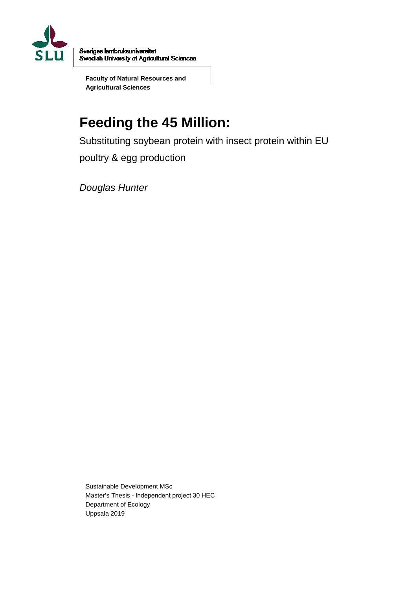

Sveriges lantbruksuniversitet Swedish University of Agricultural Sciences

**Faculty of Natural Resources and Agricultural Sciences**

# **Feeding the 45 Million:**

Substituting soybean protein with insect protein within EU poultry & egg production

*Douglas Hunter*

Sustainable Development MSc Master's Thesis - Independent project 30 HEC Department of Ecology Uppsala 2019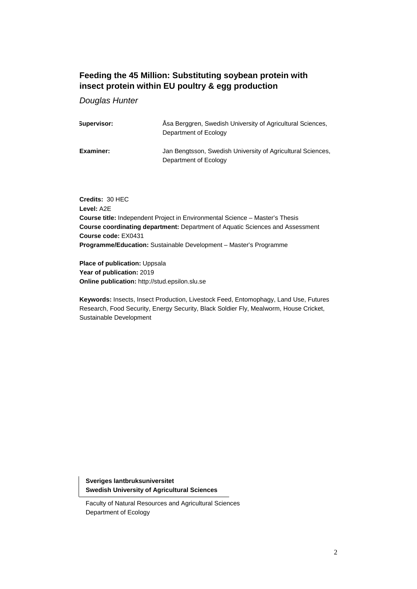## **Feeding the 45 Million: Substituting soybean protein with insect protein within EU poultry & egg production**

*Douglas Hunter*

| Supervisor: | Asa Berggren, Swedish University of Agricultural Sciences,<br>Department of Ecology  |
|-------------|--------------------------------------------------------------------------------------|
| Examiner:   | Jan Bengtsson, Swedish University of Agricultural Sciences,<br>Department of Ecology |

**Credits:** 30 HEC **Level:** A2E **Course title:** Independent Project in Environmental Science – Master's Thesis **Course coordinating department:** Department of Aquatic Sciences and Assessment **Course code:** EX0431 **Programme/Education:** Sustainable Development – Master's Programme

**Place of publication: Uppsala Year of publication:** 2019 **Online publication:** http://stud.epsilon.slu.se

**Keywords:** Insects, Insect Production, Livestock Feed, Entomophagy, Land Use, Futures Research, Food Security, Energy Security, Black Soldier Fly, Mealworm, House Cricket, Sustainable Development

**Sveriges lantbruksuniversitet Swedish University of Agricultural Sciences**

Faculty of Natural Resources and Agricultural Sciences Department of Ecology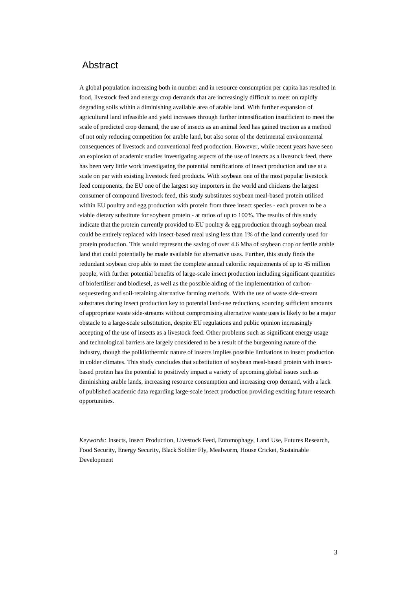## Abstract

A global population increasing both in number and in resource consumption per capita has resulted in food, livestock feed and energy crop demands that are increasingly difficult to meet on rapidly degrading soils within a diminishing available area of arable land. With further expansion of agricultural land infeasible and yield increases through further intensification insufficient to meet the scale of predicted crop demand, the use of insects as an animal feed has gained traction as a method of not only reducing competition for arable land, but also some of the detrimental environmental consequences of livestock and conventional feed production. However, while recent years have seen an explosion of academic studies investigating aspects of the use of insects as a livestock feed, there has been very little work investigating the potential ramifications of insect production and use at a scale on par with existing livestock feed products. With soybean one of the most popular livestock feed components, the EU one of the largest soy importers in the world and chickens the largest consumer of compound livestock feed, this study substitutes soybean meal-based protein utilised within EU poultry and egg production with protein from three insect species - each proven to be a viable dietary substitute for soybean protein - at ratios of up to 100%. The results of this study indicate that the protein currently provided to EU poultry & egg production through soybean meal could be entirely replaced with insect-based meal using less than 1% of the land currently used for protein production. This would represent the saving of over 4.6 Mha of soybean crop or fertile arable land that could potentially be made available for alternative uses. Further, this study finds the redundant soybean crop able to meet the complete annual calorific requirements of up to 45 million people, with further potential benefits of large-scale insect production including significant quantities of biofertiliser and biodiesel, as well as the possible aiding of the implementation of carbonsequestering and soil-retaining alternative farming methods. With the use of waste side-stream substrates during insect production key to potential land-use reductions, sourcing sufficient amounts of appropriate waste side-streams without compromising alternative waste uses is likely to be a major obstacle to a large-scale substitution, despite EU regulations and public opinion increasingly accepting of the use of insects as a livestock feed. Other problems such as significant energy usage and technological barriers are largely considered to be a result of the burgeoning nature of the industry, though the poikilothermic nature of insects implies possible limitations to insect production in colder climates. This study concludes that substitution of soybean meal-based protein with insectbased protein has the potential to positively impact a variety of upcoming global issues such as diminishing arable lands, increasing resource consumption and increasing crop demand, with a lack of published academic data regarding large-scale insect production providing exciting future research opportunities.

*Keywords:* Insects, Insect Production, Livestock Feed, Entomophagy, Land Use, Futures Research, Food Security, Energy Security, Black Soldier Fly, Mealworm, House Cricket, Sustainable Development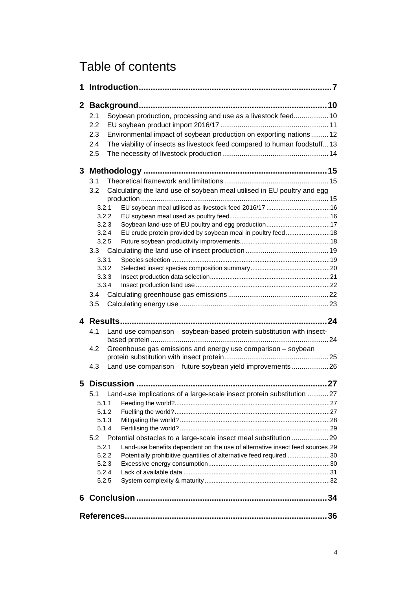## Table of contents

| 1            |                |                                                                                                                    |  |
|--------------|----------------|--------------------------------------------------------------------------------------------------------------------|--|
| $\mathbf{2}$ |                |                                                                                                                    |  |
|              | 2.1            | Soybean production, processing and use as a livestock feed 10                                                      |  |
|              | 2.2            |                                                                                                                    |  |
|              | 2.3            | Environmental impact of soybean production on exporting nations12                                                  |  |
|              | 2.4            | The viability of insects as livestock feed compared to human foodstuff13                                           |  |
|              | 2.5            |                                                                                                                    |  |
|              |                |                                                                                                                    |  |
| 3            |                |                                                                                                                    |  |
|              | 3.1            |                                                                                                                    |  |
|              | 3.2            | Calculating the land use of soybean meal utilised in EU poultry and egg                                            |  |
|              |                |                                                                                                                    |  |
|              | 3.2.1          | EU soybean meal utilised as livestock feed 2016/17 16                                                              |  |
|              | 3.2.2<br>3.2.3 |                                                                                                                    |  |
|              | 3.2.4          | Soybean land-use of EU poultry and egg production17<br>EU crude protein provided by soybean meal in poultry feed18 |  |
|              | 3.2.5          |                                                                                                                    |  |
|              |                |                                                                                                                    |  |
|              | 3.3.1          |                                                                                                                    |  |
|              | 3.3.2          |                                                                                                                    |  |
|              | 3.3.3          |                                                                                                                    |  |
|              | 3.3.4          |                                                                                                                    |  |
|              | 3.4            |                                                                                                                    |  |
|              | 3.5            |                                                                                                                    |  |
|              |                |                                                                                                                    |  |
|              |                |                                                                                                                    |  |
|              | 4.1            | Land use comparison - soybean-based protein substitution with insect-                                              |  |
|              | 4.2            | Greenhouse gas emissions and energy use comparison - soybean                                                       |  |
|              |                |                                                                                                                    |  |
|              | 4.3            | Land use comparison - future soybean yield improvements  26                                                        |  |
| 5            |                |                                                                                                                    |  |
|              |                | 5.1 Land-use implications of a large-scale insect protein substitution  27                                         |  |
|              | 5.1.1          |                                                                                                                    |  |
|              | 5.1.2          |                                                                                                                    |  |
|              | 5.1.3          |                                                                                                                    |  |
|              | 5.1.4          |                                                                                                                    |  |
|              | 5.2            | Potential obstacles to a large-scale insect meal substitution 29                                                   |  |
|              | 5.2.1          | Land-use benefits dependent on the use of alternative insect feed sources.29                                       |  |
|              | 5.2.2          | Potentially prohibitive quantities of alternative feed required 30                                                 |  |
|              | 5.2.3          |                                                                                                                    |  |
|              | 5.2.4          |                                                                                                                    |  |
|              | 5.2.5          |                                                                                                                    |  |
| 6.           |                |                                                                                                                    |  |
|              |                |                                                                                                                    |  |
|              |                |                                                                                                                    |  |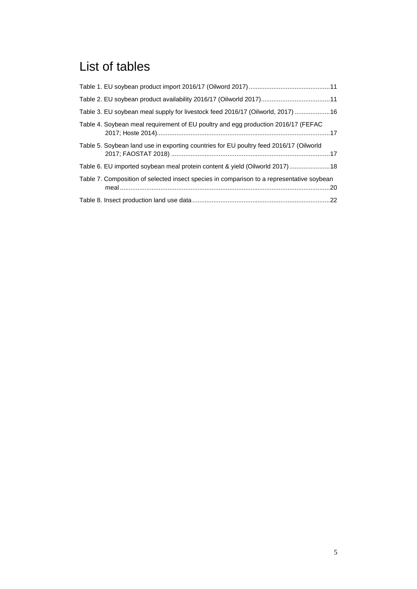## List of tables

| Table 3. EU soybean meal supply for livestock feed 2016/17 (Oilworld, 2017) 16            |  |
|-------------------------------------------------------------------------------------------|--|
| Table 4. Soybean meal requirement of EU poultry and egg production 2016/17 (FEFAC         |  |
| Table 5. Soybean land use in exporting countries for EU poultry feed 2016/17 (Oilworld    |  |
| Table 6. EU imported soybean meal protein content & yield (Oilworld 2017)  18             |  |
| Table 7. Composition of selected insect species in comparison to a representative soybean |  |
|                                                                                           |  |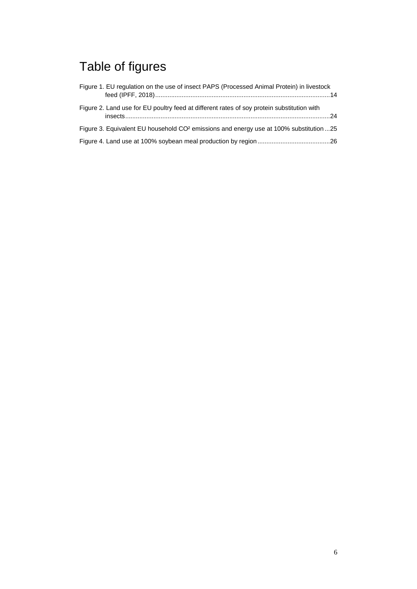# Table of figures

| Figure 1. EU regulation on the use of insect PAPS (Processed Animal Protein) in livestock         |  |
|---------------------------------------------------------------------------------------------------|--|
| Figure 2. Land use for EU poultry feed at different rates of soy protein substitution with        |  |
| Figure 3. Equivalent EU household CO <sup>2</sup> emissions and energy use at 100% substitution25 |  |
|                                                                                                   |  |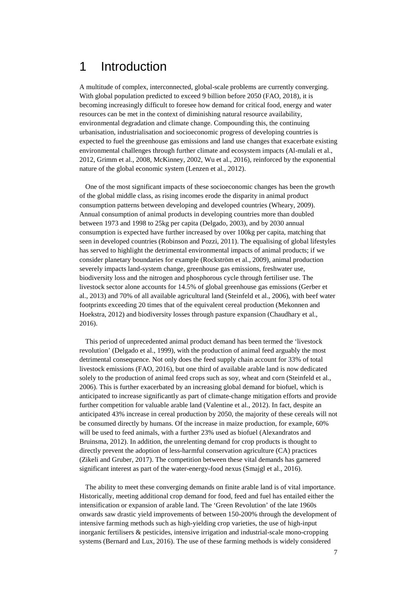## 1 Introduction

A multitude of complex, interconnected, global-scale problems are currently converging. With global population predicted to exceed 9 billion before 2050 (FAO, 2018), it is becoming increasingly difficult to foresee how demand for critical food, energy and water resources can be met in the context of diminishing natural resource availability, environmental degradation and climate change. Compounding this, the continuing urbanisation, industrialisation and socioeconomic progress of developing countries is expected to fuel the greenhouse gas emissions and land use changes that exacerbate existing environmental challenges through further climate and ecosystem impacts (Al-mulali et al., 2012, Grimm et al., 2008, McKinney, 2002, Wu et al., 2016), reinforced by the exponential nature of the global economic system (Lenzen et al., 2012).

One of the most significant impacts of these socioeconomic changes has been the growth of the global middle class, as rising incomes erode the disparity in animal product consumption patterns between developing and developed countries (Wheary, 2009). Annual consumption of animal products in developing countries more than doubled between 1973 and 1998 to 25kg per capita (Delgado, 2003), and by 2030 annual consumption is expected have further increased by over 100kg per capita, matching that seen in developed countries (Robinson and Pozzi, 2011). The equalising of global lifestyles has served to highlight the detrimental environmental impacts of animal products; if we consider planetary boundaries for example (Rockström et al., 2009), animal production severely impacts land-system change, greenhouse gas emissions, freshwater use, biodiversity loss and the nitrogen and phosphorous cycle through fertiliser use. The livestock sector alone accounts for 14.5% of global greenhouse gas emissions (Gerber et al., 2013) and 70% of all available agricultural land (Steinfeld et al., 2006), with beef water footprints exceeding 20 times that of the equivalent cereal production (Mekonnen and Hoekstra, 2012) and biodiversity losses through pasture expansion (Chaudhary et al., 2016).

This period of unprecedented animal product demand has been termed the 'livestock revolution' (Delgado et al., 1999), with the production of animal feed arguably the most detrimental consequence. Not only does the feed supply chain account for 33% of total livestock emissions (FAO, 2016), but one third of available arable land is now dedicated solely to the production of animal feed crops such as soy, wheat and corn (Steinfeld et al., 2006). This is further exacerbated by an increasing global demand for biofuel, which is anticipated to increase significantly as part of climate-change mitigation efforts and provide further competition for valuable arable land (Valentine et al., 2012). In fact, despite an anticipated 43% increase in cereal production by 2050, the majority of these cereals will not be consumed directly by humans. Of the increase in maize production, for example, 60% will be used to feed animals, with a further 23% used as biofuel (Alexandratos and Bruinsma, 2012). In addition, the unrelenting demand for crop products is thought to directly prevent the adoption of less-harmful conservation agriculture (CA) practices (Zikeli and Gruber, 2017). The competition between these vital demands has garnered significant interest as part of the water-energy-food nexus (Smajgl et al., 2016).

The ability to meet these converging demands on finite arable land is of vital importance. Historically, meeting additional crop demand for food, feed and fuel has entailed either the intensification or expansion of arable land. The 'Green Revolution' of the late 1960s onwards saw drastic yield improvements of between 150-200% through the development of intensive farming methods such as high-yielding crop varieties, the use of high-input inorganic fertilisers & pesticides, intensive irrigation and industrial-scale mono-cropping systems (Bernard and Lux, 2016). The use of these farming methods is widely considered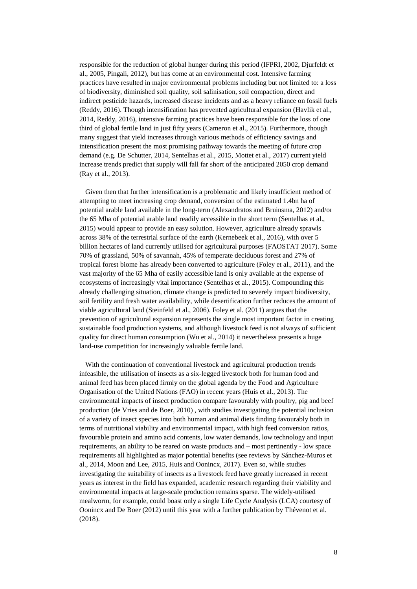responsible for the reduction of global hunger during this period (IFPRI, 2002, Djurfeldt et al., 2005, Pingali, 2012), but has come at an environmental cost. Intensive farming practices have resulted in major environmental problems including but not limited to: a loss of biodiversity, diminished soil quality, soil salinisation, soil compaction, direct and indirect pesticide hazards, increased disease incidents and as a heavy reliance on fossil fuels (Reddy, 2016). Though intensification has prevented agricultural expansion (Havlik et al., 2014, Reddy, 2016), intensive farming practices have been responsible for the loss of one third of global fertile land in just fifty years (Cameron et al., 2015). Furthermore, though many suggest that yield increases through various methods of efficiency savings and intensification present the most promising pathway towards the meeting of future crop demand (e.g. De Schutter, 2014, Sentelhas et al., 2015, Mottet et al., 2017) current yield increase trends predict that supply will fall far short of the anticipated 2050 crop demand (Ray et al., 2013).

Given then that further intensification is a problematic and likely insufficient method of attempting to meet increasing crop demand, conversion of the estimated 1.4bn ha of potential arable land available in the long-term (Alexandratos and Bruinsma, 2012) and/or the 65 Mha of potential arable land readily accessible in the short term (Sentelhas et al., 2015) would appear to provide an easy solution. However, agriculture already sprawls across 38% of the terrestrial surface of the earth (Kernebeek et al., 2016), with over 5 billion hectares of land currently utilised for agricultural purposes (FAOSTAT 2017). Some 70% of grassland, 50% of savannah, 45% of temperate deciduous forest and 27% of tropical forest biome has already been converted to agriculture (Foley et al., 2011), and the vast majority of the 65 Mha of easily accessible land is only available at the expense of ecosystems of increasingly vital importance (Sentelhas et al., 2015). Compounding this already challenging situation, climate change is predicted to severely impact biodiversity, soil fertility and fresh water availability, while desertification further reduces the amount of viable agricultural land (Steinfeld et al., 2006). Foley et al. (2011) argues that the prevention of agricultural expansion represents the single most important factor in creating sustainable food production systems, and although livestock feed is not always of sufficient quality for direct human consumption (Wu et al., 2014) it nevertheless presents a huge land-use competition for increasingly valuable fertile land.

With the continuation of conventional livestock and agricultural production trends infeasible, the utilisation of insects as a six-legged livestock both for human food and animal feed has been placed firmly on the global agenda by the Food and Agriculture Organisation of the United Nations (FAO) in recent years (Huis et al., 2013). The environmental impacts of insect production compare favourably with poultry, pig and beef production (de Vries and de Boer, 2010) , with studies investigating the potential inclusion of a variety of insect species into both human and animal diets finding favourably both in terms of nutritional viability and environmental impact, with high feed conversion ratios, favourable protein and amino acid contents, low water demands, low technology and input requirements, an ability to be reared on waste products and – most pertinently - low space requirements all highlighted as major potential benefits (see reviews by Sánchez-Muros et al., 2014, Moon and Lee, 2015, Huis and Oonincx, 2017). Even so, while studies investigating the suitability of insects as a livestock feed have greatly increased in recent years as interest in the field has expanded, academic research regarding their viability and environmental impacts at large-scale production remains sparse. The widely-utilised mealworm, for example, could boast only a single Life Cycle Analysis (LCA) courtesy of Oonincx and De Boer (2012) until this year with a further publication by Thévenot et al. (2018).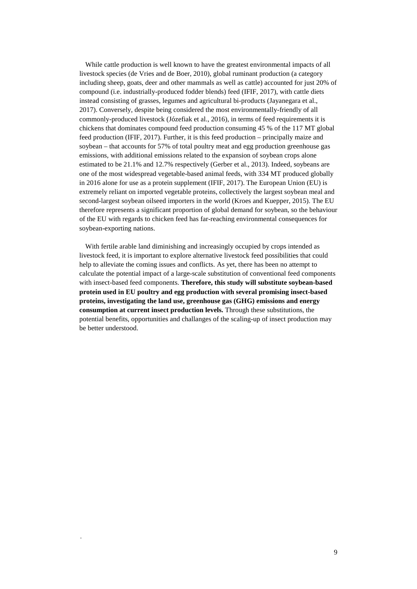While cattle production is well known to have the greatest environmental impacts of all livestock species (de Vries and de Boer, 2010), global ruminant production (a category including sheep, goats, deer and other mammals as well as cattle) accounted for just 20% of compound (i.e. industrially-produced fodder blends) feed (IFIF, 2017), with cattle diets instead consisting of grasses, legumes and agricultural bi-products (Jayanegara et al., 2017). Conversely, despite being considered the most environmentally-friendly of all commonly-produced livestock (Józefiak et al., 2016), in terms of feed requirements it is chickens that dominates compound feed production consuming 45 % of the 117 MT global feed production (IFIF, 2017). Further, it is this feed production – principally maize and soybean – that accounts for 57% of total poultry meat and egg production greenhouse gas emissions, with additional emissions related to the expansion of soybean crops alone estimated to be 21.1% and 12.7% respectively (Gerber et al., 2013). Indeed, soybeans are one of the most widespread vegetable-based animal feeds, with 334 MT produced globally in 2016 alone for use as a protein supplement (IFIF, 2017). The European Union (EU) is extremely reliant on imported vegetable proteins, collectively the largest soybean meal and second-largest soybean oilseed importers in the world (Kroes and Kuepper, 2015). The EU therefore represents a significant proportion of global demand for soybean, so the behaviour of the EU with regards to chicken feed has far-reaching environmental consequences for soybean-exporting nations.

With fertile arable land diminishing and increasingly occupied by crops intended as livestock feed, it is important to explore alternative livestock feed possibilities that could help to alleviate the coming issues and conflicts. As yet, there has been no attempt to calculate the potential impact of a large-scale substitution of conventional feed components with insect-based feed components. **Therefore, this study will substitute soybean-based protein used in EU poultry and egg production with several promising insect-based proteins, investigating the land use, greenhouse gas (GHG) emissions and energy consumption at current insect production levels.** Through these substitutions, the potential benefits, opportunities and challanges of the scaling-up of insect production may be better understood.

*.*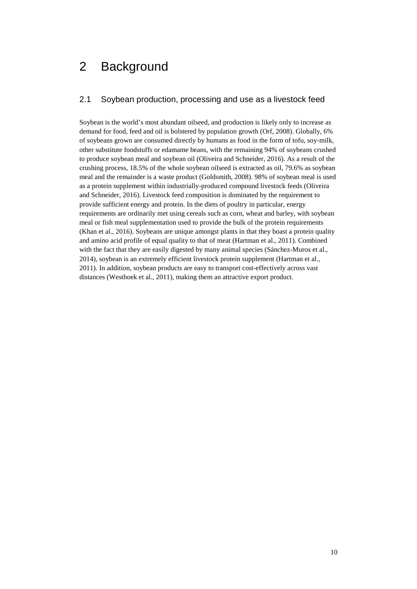## 2 Background

## 2.1 Soybean production, processing and use as a livestock feed

Soybean is the world's most abundant oilseed, and production is likely only to increase as demand for food, feed and oil is bolstered by population growth (Orf, 2008). Globally, 6% of soybeans grown are consumed directly by humans as food in the form of tofu, soy-milk, other substitute foodstuffs or edamame beans, with the remaining 94% of soybeans crushed to produce soybean meal and soybean oil (Oliveira and Schneider, 2016). As a result of the crushing process, 18.5% of the whole soybean oilseed is extracted as oil, 79.6% as soybean meal and the remainder is a waste product (Goldsmith, 2008). 98% of soybean meal is used as a protein supplement within industrially-produced compound livestock feeds (Oliveira and Schneider, 2016). Livestock feed composition is dominated by the requirement to provide sufficient energy and protein. In the diets of poultry in particular, energy requirements are ordinarily met using cereals such as corn, wheat and barley, with soybean meal or fish meal supplementation used to provide the bulk of the protein requirements (Khan et al., 2016). Soybeans are unique amongst plants in that they boast a protein quality and amino acid profile of equal quality to that of meat (Hartman et al., 2011). Combined with the fact that they are easily digested by many animal species (Sánchez-Muros et al., 2014), soybean is an extremely efficient livestock protein supplement (Hartman et al., 2011). In addition, soybean products are easy to transport cost-effectively across vast distances (Westhoek et al., 2011), making them an attractive export product.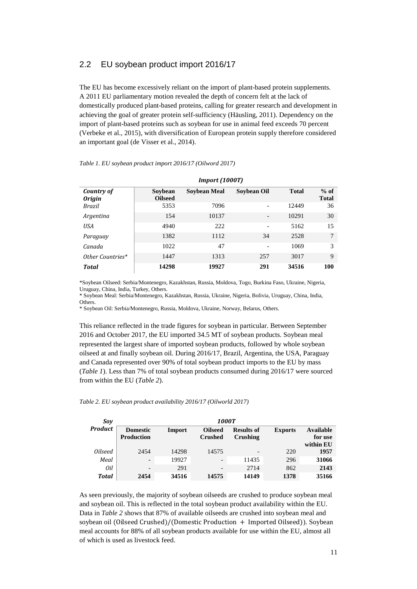### 2.2 EU soybean product import 2016/17

The EU has become excessively reliant on the import of plant-based protein supplements. A 2011 EU parliamentary motion revealed the depth of concern felt at the lack of domestically produced plant-based proteins, calling for greater research and development in achieving the goal of greater protein self-sufficiency (Häusling, 2011). Dependency on the import of plant-based proteins such as soybean for use in animal feed exceeds 70 percent (Verbeke et al., 2015), with diversification of European protein supply therefore considered an important goal (de Visser et al., 2014).

|  | Table 1. EU soybean product import 2016/17 (Oilword 2017) |  |  |  |  |
|--|-----------------------------------------------------------|--|--|--|--|
|--|-----------------------------------------------------------|--|--|--|--|

|                             |                           | <b>Import (1000T)</b> |                          |              |                        |
|-----------------------------|---------------------------|-----------------------|--------------------------|--------------|------------------------|
| Country of<br><b>Origin</b> | Sovbean<br><b>Oilseed</b> | <b>Soybean Meal</b>   | Soybean Oil              | <b>Total</b> | $%$ of<br><b>Total</b> |
| Brazil                      | 5353                      | 7096                  |                          | 12449        | 36                     |
| Argentina                   | 154                       | 10137                 | $\overline{\phantom{a}}$ | 10291        | 30                     |
| USA                         | 4940                      | 222                   | $\overline{\phantom{0}}$ | 5162         | 15                     |
| Paraguay                    | 1382                      | 1112                  | 34                       | 2528         | 7                      |
| Canada                      | 1022                      | 47                    | $\qquad \qquad$          | 1069         | 3                      |
| Other Countries*            | 1447                      | 1313                  | 257                      | 3017         | 9                      |
| <b>Total</b>                | 14298                     | 19927                 | 291                      | 34516        | 100                    |

\*Soybean Oilseed: Serbia/Montenegro, Kazakhstan, Russia, Moldova, Togo, Burkina Faso, Ukraine, Nigeria, Uruguay, China, India, Turkey, Others.

\* Soybean Meal: Serbia/Montenegro, Kazakhstan, Russia, Ukraine, Nigeria, Bolivia, Uruguay, China, India, Others.

\* Soybean Oil: Serbia/Montenegro, Russia, Moldova, Ukraine, Norway, Belarus, Others.

This reliance reflected in the trade figures for soybean in particular. Between September 2016 and October 2017, the EU imported 34.5 MT of soybean products. Soybean meal represented the largest share of imported soybean products, followed by whole soybean oilseed at and finally soybean oil. During 2016/17, Brazil, Argentina, the USA, Paraguay and Canada represented over 90% of total soybean product imports to the EU by mass (*Table 1*). Less than 7% of total soybean products consumed during 2016/17 were sourced from within the EU (*Table 2*).

| Sov                   |                                      | <b>1000T</b> |                                  |                               |                |                      |
|-----------------------|--------------------------------------|--------------|----------------------------------|-------------------------------|----------------|----------------------|
| <b>Product</b>        | <b>Domestic</b><br><b>Production</b> | Import       | <b>Oilseed</b><br><b>Crushed</b> | <b>Results of</b><br>Crushing | <b>Exports</b> | Available<br>for use |
| <i><b>Oilseed</b></i> | 2454                                 | 14298        | 14575                            |                               | 220            | within EU<br>1957    |
| Meal                  | $\qquad \qquad \blacksquare$         | 19927        | $\overline{\phantom{a}}$         | 11435                         | 296            | 31066                |
| 0il                   | $\overline{\phantom{0}}$             | 291          | $\qquad \qquad -$                | 2714                          | 862            | 2143                 |
| <b>Total</b>          | 2454                                 | 34516        | 14575                            | 14149                         | 1378           | 35166                |

As seen previously, the majority of soybean oilseeds are crushed to produce soybean meal and soybean oil. This is reflected in the total soybean product availability within the EU. Data in *Table 2* shows that 87% of available oilseeds are crushed into soybean meal and soybean oil (Oilseed Crushed)/(Domestic Production + Imported Oilseed)). Soybean meal accounts for 88% of all soybean products available for use within the EU, almost all of which is used as livestock feed.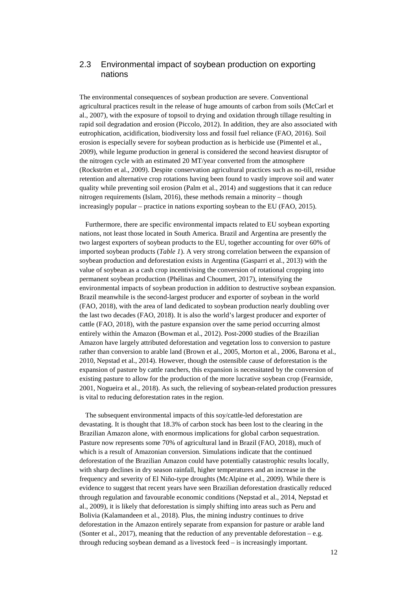## 2.3 Environmental impact of soybean production on exporting nations

The environmental consequences of soybean production are severe. Conventional agricultural practices result in the release of huge amounts of carbon from soils (McCarl et al., 2007), with the exposure of topsoil to drying and oxidation through tillage resulting in rapid soil degradation and erosion (Piccolo, 2012). In addition, they are also associated with eutrophication, acidification, biodiversity loss and fossil fuel reliance (FAO, 2016). Soil erosion is especially severe for soybean production as is herbicide use (Pimentel et al., 2009), while legume production in general is considered the second heaviest disruptor of the nitrogen cycle with an estimated 20 MT/year converted from the atmosphere (Rockström et al., 2009). Despite conservation agricultural practices such as no-till, residue retention and alternative crop rotations having been found to vastly improve soil and water quality while preventing soil erosion (Palm et al., 2014) and suggestions that it can reduce nitrogen requirements (Islam, 2016), these methods remain a minority – though increasingly popular – practice in nations exporting soybean to the EU (FAO, 2015).

Furthermore, there are specific environmental impacts related to EU soybean exporting nations, not least those located in South America. Brazil and Argentina are presently the two largest exporters of soybean products to the EU, together accounting for over 60% of imported soybean products (*Table 1*). A very strong correlation between the expansion of soybean production and deforestation exists in Argentina (Gasparri et al., 2013) with the value of soybean as a cash crop incentivising the conversion of rotational cropping into permanent soybean production (Phélinas and Choumert, 2017), intensifying the environmental impacts of soybean production in addition to destructive soybean expansion. Brazil meanwhile is the second-largest producer and exporter of soybean in the world (FAO, 2018), with the area of land dedicated to soybean production nearly doubling over the last two decades (FAO, 2018). It is also the world's largest producer and exporter of cattle (FAO, 2018), with the pasture expansion over the same period occurring almost entirely within the Amazon (Bowman et al., 2012). Post-2000 studies of the Brazilian Amazon have largely attributed deforestation and vegetation loss to conversion to pasture rather than conversion to arable land (Brown et al., 2005, Morton et al., 2006, Barona et al., 2010, Nepstad et al., 2014). However, though the ostensible cause of deforestation is the expansion of pasture by cattle ranchers, this expansion is necessitated by the conversion of existing pasture to allow for the production of the more lucrative soybean crop (Fearnside, 2001, Nogueira et al., 2018). As such, the relieving of soybean-related production pressures is vital to reducing deforestation rates in the region.

The subsequent environmental impacts of this soy/cattle-led deforestation are devastating. It is thought that 18.3% of carbon stock has been lost to the clearing in the Brazilian Amazon alone, with enormous implications for global carbon sequestration. Pasture now represents some 70% of agricultural land in Brazil (FAO, 2018), much of which is a result of Amazonian conversion. Simulations indicate that the continued deforestation of the Brazilian Amazon could have potentially catastrophic results locally, with sharp declines in dry season rainfall, higher temperatures and an increase in the frequency and severity of El Niño-type droughts (McAlpine et al., 2009). While there is evidence to suggest that recent years have seen Brazilian deforestation drastically reduced through regulation and favourable economic conditions (Nepstad et al., 2014, Nepstad et al., 2009), it is likely that deforestation is simply shifting into areas such as Peru and Bolivia (Kalamandeen et al., 2018). Plus, the mining industry continues to drive deforestation in the Amazon entirely separate from expansion for pasture or arable land (Sonter et al., 2017), meaning that the reduction of any preventable deforestation – e.g. through reducing soybean demand as a livestock feed – is increasingly important.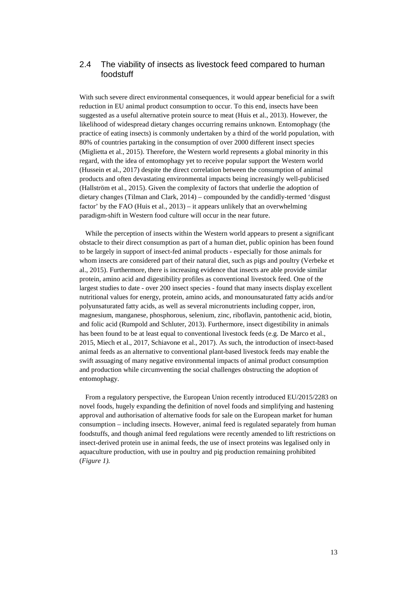## 2.4 The viability of insects as livestock feed compared to human foodstuff

With such severe direct environmental consequences, it would appear beneficial for a swift reduction in EU animal product consumption to occur. To this end, insects have been suggested as a useful alternative protein source to meat (Huis et al., 2013). However, the likelihood of widespread dietary changes occurring remains unknown. Entomophagy (the practice of eating insects) is commonly undertaken by a third of the world population, with 80% of countries partaking in the consumption of over 2000 different insect species (Miglietta et al., 2015). Therefore, the Western world represents a global minority in this regard, with the idea of entomophagy yet to receive popular support the Western world (Hussein et al., 2017) despite the direct correlation between the consumption of animal products and often devastating environmental impacts being increasingly well-publicised (Hallström et al., 2015). Given the complexity of factors that underlie the adoption of dietary changes (Tilman and Clark, 2014) – compounded by the candidly-termed 'disgust factor' by the FAO (Huis et al., 2013) – it appears unlikely that an overwhelming paradigm-shift in Western food culture will occur in the near future.

While the perception of insects within the Western world appears to present a significant obstacle to their direct consumption as part of a human diet, public opinion has been found to be largely in support of insect-fed animal products - especially for those animals for whom insects are considered part of their natural diet, such as pigs and poultry (Verbeke et al., 2015). Furthermore, there is increasing evidence that insects are able provide similar protein, amino acid and digestibility profiles as conventional livestock feed. One of the largest studies to date - over 200 insect species - found that many insects display excellent nutritional values for energy, protein, amino acids, and monounsaturated fatty acids and/or polyunsaturated fatty acids, as well as several micronutrients including copper, iron, magnesium, manganese, phosphorous, selenium, zinc, riboflavin, pantothenic acid, biotin, and folic acid (Rumpold and Schluter, 2013). Furthermore, insect digestibility in animals has been found to be at least equal to conventional livestock feeds (e.g. De Marco et al., 2015, Miech et al., 2017, Schiavone et al., 2017). As such, the introduction of insect-based animal feeds as an alternative to conventional plant-based livestock feeds may enable the swift assuaging of many negative environmental impacts of animal product consumption and production while circumventing the social challenges obstructing the adoption of entomophagy.

From a regulatory perspective, the European Union recently introduced EU/2015/2283 on novel foods, hugely expanding the definition of novel foods and simplifying and hastening approval and authorisation of alternative foods for sale on the European market for human consumption – including insects. However, animal feed is regulated separately from human foodstuffs, and though animal feed regulations were recently amended to lift restrictions on insect-derived protein use in animal feeds, the use of insect proteins was legalised only in aquaculture production, with use in poultry and pig production remaining prohibited (*Figure 1).*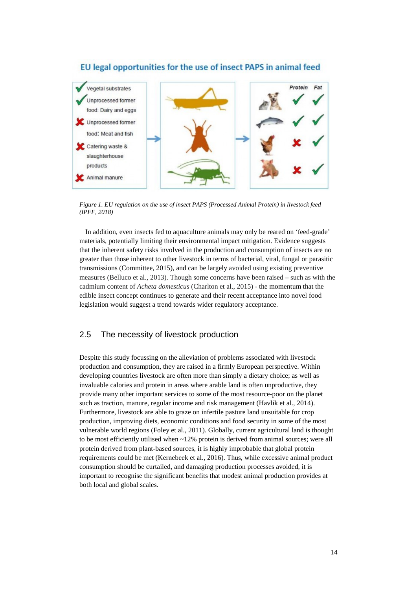

## EU legal opportunities for the use of insect PAPS in animal feed

<span id="page-13-0"></span>*Figure 1. EU regulation on the use of insect PAPS (Processed Animal Protein) in livestock feed (IPFF, 2018)*

In addition, even insects fed to aquaculture animals may only be reared on 'feed-grade' materials, potentially limiting their environmental impact mitigation. Evidence suggests that the inherent safety risks involved in the production and consumption of insects are no greater than those inherent to other livestock in terms of bacterial, viral, fungal or parasitic transmissions (Committee, 2015), and can be largely avoided using existing preventive measures (Belluco et al., 2013). Though some concerns have been raised – such as with the cadmium content of *Acheta domesticus* (Charlton et al., 2015) - the momentum that the edible insect concept continues to generate and their recent acceptance into novel food legislation would suggest a trend towards wider regulatory acceptance.

## 2.5 The necessity of livestock production

Despite this study focussing on the alleviation of problems associated with livestock production and consumption, they are raised in a firmly European perspective. Within developing countries livestock are often more than simply a dietary choice; as well as invaluable calories and protein in areas where arable land is often unproductive, they provide many other important services to some of the most resource-poor on the planet such as traction, manure, regular income and risk management (Havlik et al., 2014). Furthermore, livestock are able to graze on infertile pasture land unsuitable for crop production, improving diets, economic conditions and food security in some of the most vulnerable world regions (Foley et al., 2011). Globally, current agricultural land is thought to be most efficiently utilised when ~12% protein is derived from animal sources; were all protein derived from plant-based sources, it is highly improbable that global protein requirements could be met (Kernebeek et al., 2016). Thus, while excessive animal product consumption should be curtailed, and damaging production processes avoided, it is important to recognise the significant benefits that modest animal production provides at both local and global scales.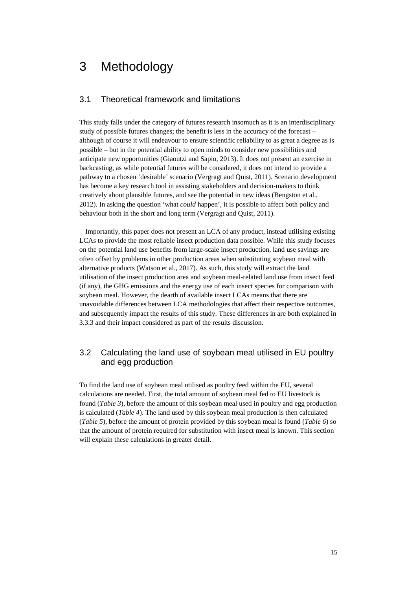## 3 Methodology

### 3.1 Theoretical framework and limitations

This study falls under the category of futures research insomuch as it is an interdisciplinary study of possible futures changes; the benefit is less in the accuracy of the forecast – although of course it will endeavour to ensure scientific reliability to as great a degree as is possible – but in the potential ability to open minds to consider new possibilities and anticipate new opportunities (Giaoutzi and Sapio, 2013). It does not present an exercise in backcasting, as while potential futures will be considered, it does not intend to provide a pathway to a chosen 'desirable' scenario (Vergragt and Quist, 2011). Scenario development has become a key research tool in assisting stakeholders and decision-makers to think creatively about plausible futures, and see the potential in new ideas (Bengston et al., 2012). In asking the question 'what *could* happen', it is possible to affect both policy and behaviour both in the short and long term (Vergragt and Quist, 2011).

Importantly, this paper does not present an LCA of any product, instead utilising existing LCAs to provide the most reliable insect production data possible. While this study focuses on the potential land use benefits from large-scale insect production, land use savings are often offset by problems in other production areas when substituting soybean meal with alternative products (Watson et al., 2017). As such, this study will extract the land utilisation of the insect production area and soybean meal-related land use from insect feed (if any), the GHG emissions and the energy use of each insect species for comparison with soybean meal. However, the dearth of available insect LCAs means that there are unavoidable differences between LCA methodologies that affect their respective outcomes, and subsequently impact the results of this study. These differences in are both explained in 3.3.3 and their impact considered as part of the results discussion.

## 3.2 Calculating the land use of soybean meal utilised in EU poultry and egg production

To find the land use of soybean meal utilised as poultry feed within the EU, several calculations are needed. First, the total amount of soybean meal fed to EU livestock is found (*Table 3*), before the amount of this soybean meal used in poultry and egg production is calculated (*Table 4*). The land used by this soybean meal production is then calculated (*Table 5*), before the amount of protein provided by this soybean meal is found (*Table 6*) so that the amount of protein required for substitution with insect meal is known. This section will explain these calculations in greater detail.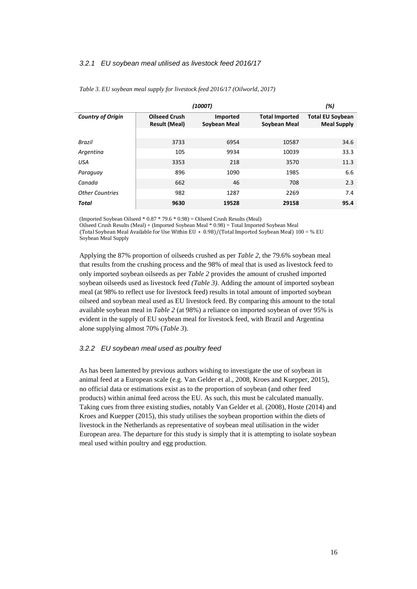#### *3.2.1 EU soybean meal utilised as livestock feed 2016/17*

|                          |                                              | (1000T)                         |                                       | (%)                                           |
|--------------------------|----------------------------------------------|---------------------------------|---------------------------------------|-----------------------------------------------|
| <b>Country of Origin</b> | <b>Oilseed Crush</b><br><b>Result (Meal)</b> | <b>Imported</b><br>Soybean Meal | <b>Total Imported</b><br>Soybean Meal | <b>Total EU Soybean</b><br><b>Meal Supply</b> |
|                          |                                              |                                 |                                       |                                               |
| Brazil                   | 3733                                         | 6954                            | 10587                                 | 34.6                                          |
| Argentina                | 105                                          | 9934                            | 10039                                 | 33.3                                          |
| <b>USA</b>               | 3353                                         | 218                             | 3570                                  | 11.3                                          |
| Paraguay                 | 896                                          | 1090                            | 1985                                  | 6.6                                           |
| Canada                   | 662                                          | 46                              | 708                                   | 2.3                                           |
| <b>Other Countries</b>   | 982                                          | 1287                            | 2269                                  | 7.4                                           |
| Total                    | 9630                                         | 19528                           | 29158                                 | 95.4                                          |

*Table 3. EU soybean meal supply for livestock feed 2016/17 (Oilworld, 2017)*

(Imported Soybean Oilseed  $* 0.87 * 79.6 * 0.98$ ) = Oilseed Crush Results (Meal)

Oilseed Crush Results (Meal) + (Imported Soybean Meal \* 0.98) = Total Imported Soybean Meal (Total Soybean Meal Available for Use Within EU ∗ 0.98)/(Total Imported Soybean Meal) 100 = % EU Soybean Meal Supply

Applying the 87% proportion of oilseeds crushed as per *Table 2*, the 79.6% soybean meal that results from the crushing process and the 98% of meal that is used as livestock feed to only imported soybean oilseeds as per *Table 2* provides the amount of crushed imported soybean oilseeds used as livestock feed *(Table 3)*. Adding the amount of imported soybean meal (at 98% to reflect use for livestock feed) results in total amount of imported soybean oilseed and soybean meal used as EU livestock feed. By comparing this amount to the total available soybean meal in *Table 2* (at 98%) a reliance on imported soybean of over 95% is evident in the supply of EU soybean meal for livestock feed, with Brazil and Argentina alone supplying almost 70% (*Table 3*).

#### *3.2.2 EU soybean meal used as poultry feed*

As has been lamented by previous authors wishing to investigate the use of soybean in animal feed at a European scale (e.g. Van Gelder et al., 2008, Kroes and Kuepper, 2015), no official data or estimations exist as to the proportion of soybean (and other feed products) within animal feed across the EU. As such, this must be calculated manually. Taking cues from three existing studies, notably Van Gelder et al. (2008), Hoste (2014) and Kroes and Kuepper (2015), this study utilises the soybean proportion within the diets of livestock in the Netherlands as representative of soybean meal utilisation in the wider European area. The departure for this study is simply that it is attempting to isolate soybean meal used within poultry and egg production.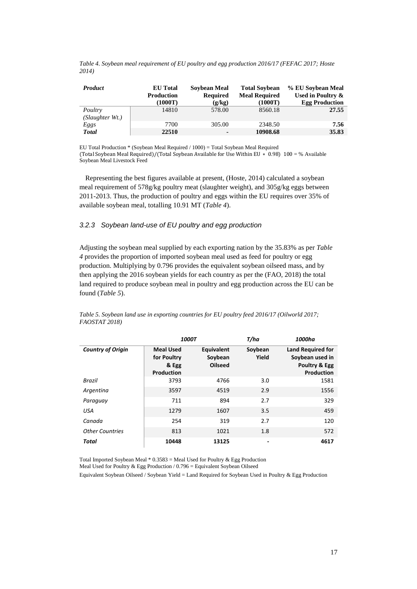|       |  | Table 4. Soybean meal requirement of EU poultry and egg production 2016/17 (FEFAC 2017; Hoste |  |
|-------|--|-----------------------------------------------------------------------------------------------|--|
| 2014) |  |                                                                                               |  |

| <b>Product</b>             | <b>EU</b> Total<br><b>Production</b><br>1000T) | Soybean Meal<br><b>Required</b><br>(g/kg) | <b>Total Sovbean</b><br><b>Meal Required</b><br>(1000T) | % EU Soybean Meal<br>Used in Poultry &<br><b>Egg Production</b> |
|----------------------------|------------------------------------------------|-------------------------------------------|---------------------------------------------------------|-----------------------------------------------------------------|
| Poultry<br>(Slaughter Wt.) | 14810                                          | 578.00                                    | 8560.18                                                 | 27.55                                                           |
| Eggs                       | 7700                                           | 305.00                                    | 2348.50                                                 | 7.56                                                            |
| <b>Total</b>               | 22510                                          |                                           | 10908.68                                                | 35.83                                                           |

EU Total Production \* (Soybean Meal Required / 1000) = Total Soybean Meal Required (Total Soybean Meal Required)/(Total Soybean Available for Use Within EU ∗ 0.98) 100 = % Available Soybean Meal Livestock Feed

Representing the best figures available at present, (Hoste, 2014) calculated a soybean meal requirement of 578g/kg poultry meat (slaughter weight), and 305g/kg eggs between 2011-2013. Thus, the production of poultry and eggs within the EU requires over 35% of available soybean meal, totalling 10.91 MT (*Table 4*).

### *3.2.3 Soybean land-use of EU poultry and egg production*

Adjusting the soybean meal supplied by each exporting nation by the 35.83% as per *Table 4* provides the proportion of imported soybean meal used as feed for poultry or egg production. Multiplying by 0.796 provides the equivalent soybean oilseed mass, and by then applying the 2016 soybean yields for each country as per the (FAO, 2018) the total land required to produce soybean meal in poultry and egg production across the EU can be found (*Table 5*).

|                          |                                                        | <b>1000T</b>                            | T/ha             | 1000ha                                                                     |
|--------------------------|--------------------------------------------------------|-----------------------------------------|------------------|----------------------------------------------------------------------------|
| <b>Country of Origin</b> | <b>Meal Used</b><br>for Poultry<br>& Egg<br>Production | Equivalent<br>Soybean<br><b>Oilseed</b> | Soybean<br>Yield | <b>Land Required for</b><br>Soybean used in<br>Poultry & Egg<br>Production |
| <b>Brazil</b>            | 3793                                                   | 4766                                    | 3.0              | 1581                                                                       |
| Argentina                | 3597                                                   | 4519                                    | 2.9              | 1556                                                                       |
| Paraguay                 | 711                                                    | 894                                     | 2.7              | 329                                                                        |
| <b>USA</b>               | 1279                                                   | 1607                                    | 3.5              | 459                                                                        |
| Canada                   | 254                                                    | 319                                     | 2.7              | 120                                                                        |
| <b>Other Countries</b>   | 813                                                    | 1021                                    | 1.8              | 572                                                                        |
| Total                    | 10448                                                  | 13125                                   | ٠                | 4617                                                                       |

*Table 5. Soybean land use in exporting countries for EU poultry feed 2016/17 (Oilworld 2017; FAOSTAT 2018)*

Total Imported Soybean Meal  $* 0.3583 =$  Meal Used for Poultry & Egg Production

Meal Used for Poultry & Egg Production / 0.796 = Equivalent Soybean Oilseed

Equivalent Soybean Oilseed / Soybean Yield = Land Required for Soybean Used in Poultry & Egg Production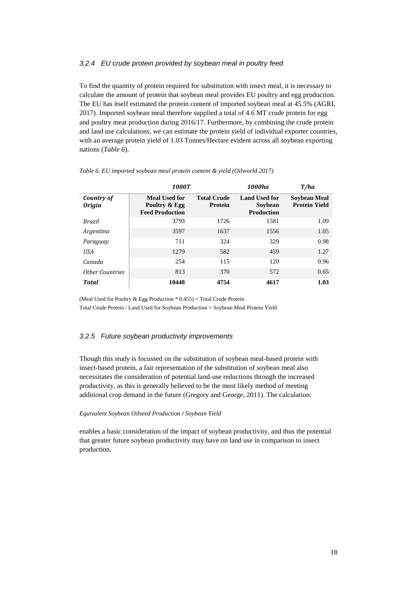#### *3.2.4 EU crude protein provided by soybean meal in poultry feed*

To find the quantity of protein required for substitution with insect meal, it is necessary to calculate the amount of protein that soybean meal provides EU poultry and egg production. The EU has itself estimated the protein content of imported soybean meal at 45.5% (AGRI, 2017). Imported soybean meal therefore supplied a total of 4.6 MT crude protein for egg and poultry meat production during 2016/17. Furthermore, by combining the crude protein and land use calculations, we can estimate the protein yield of individual exporter countries, with an average protein yield of 1.03 Tonnes/Hectare evident across all soybean exporting nations (*Table 6*).

|                             | <b>1000T</b>                                                    |                                      | 1000ha                                               | T/ha                                        |
|-----------------------------|-----------------------------------------------------------------|--------------------------------------|------------------------------------------------------|---------------------------------------------|
| Country of<br><b>Origin</b> | <b>Meal Used for</b><br>Poultry & Egg<br><b>Feed Production</b> | <b>Total Crude</b><br><b>Protein</b> | <b>Land Used for</b><br>Soybean<br><b>Production</b> | <b>Soybean Meal</b><br><b>Protein Yield</b> |
| Brazil                      | 3793                                                            | 1726                                 | 1581                                                 | 1.09                                        |
| Argentina                   | 3597                                                            | 1637                                 | 1556                                                 | 1.05                                        |
| Paraguay                    | 711                                                             | 324                                  | 329                                                  | 0.98                                        |
| USA                         | 1279                                                            | 582                                  | 459                                                  | 1.27                                        |
| Canada                      | 254                                                             | 115                                  | 120                                                  | 0.96                                        |
| <b>Other Countries</b>      | 813                                                             | 370                                  | 572                                                  | 0.65                                        |
| <b>Total</b>                | 10448                                                           | 4754                                 | 4617                                                 | 1.03                                        |

*Table 6. EU imported soybean meal protein content & yield (Oilworld 2017)*

(Meal Used for Poultry & Egg Production  $*$  0.455) = Total Crude Protein Total Crude Protein / Land Used for Soybean Production = Soybean Meal Protein Yield

#### *3.2.5 Future soybean productivity improvements*

Though this study is focussed on the substitution of soybean meal-based protein with insect-based protein, a fair representation of the substitution of soybean meal also necessitates the consideration of potential land-use reductions through the increased productivity, as this is generally believed to be the most likely method of meeting additional crop demand in the future (Gregory and George, 2011). The calculation:

#### *Equivalent Soybean Oilseed Production / Soybean Yield*

enables a basic consideration of the impact of soybean productivity, and thus the potential that greater future soybean productivity may have on land use in comparison to insect production.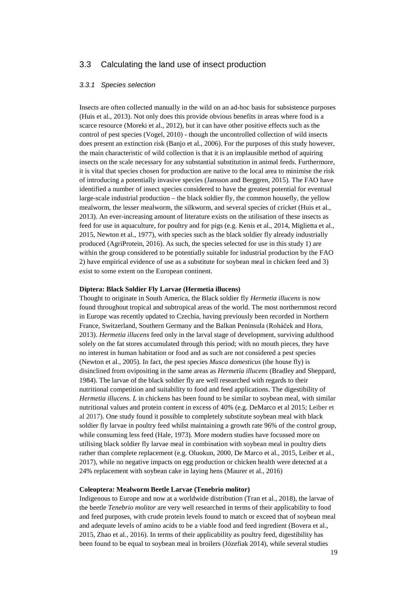### 3.3 Calculating the land use of insect production

#### *3.3.1 Species selection*

Insects are often collected manually in the wild on an ad-hoc basis for subsistence purposes (Huis et al., 2013). Not only does this provide obvious benefits in areas where food is a scarce resource (Moreki et al., 2012), but it can have other positive effects such as the control of pest species (Vogel, 2010) - though the uncontrolled collection of wild insects does present an extinction risk (Banjo et al., 2006). For the purposes of this study however, the main characteristic of wild collection is that it is an implausible method of aquiring insects on the scale necessary for any substantial substitution in animal feeds. Furthermore, it is vital that species chosen for production are native to the local area to minimise the risk of introducing a potentially invasive species (Jansson and Berggren, 2015). The FAO have identified a number of insect species considered to have the greatest potential for eventual large-scale industrial production – the black soldier fly, the common housefly, the yellow mealworm, the lesser mealworm, the silkworm, and several species of cricket (Huis et al., 2013). An ever-increasing amount of literature exists on the utilisation of these insects as feed for use in aquaculture, for poultry and for pigs (e.g. Kenis et al., 2014, Miglietta et al., 2015, Newton et al., 1977), with species such as the black soldier fly already industrially produced (AgriProtein, 2016). As such, the species selected for use in this study 1) are within the group considered to be potentially suitable for industrial production by the FAO 2) have empirical evidence of use as a substitute for soybean meal in chicken feed and 3) exist to some extent on the European continent.

#### **Diptera: Black Soldier Fly Larvae (Hermetia illucens)**

Thought to originate in South America, the Black soldier fly *Hermetia illucens* is now found throughout tropical and subtropical areas of the world. The most northernmost record in Europe was recently updated to Czechia, having previously been recorded in Northern France, Switzerland, Southern Germany and the Balkan Peninsula (Roháček and Hora, 2013). *Hermetia illucens* feed only in the larval stage of development, surviving adulthood solely on the fat stores accumulated through this period; with no mouth pieces, they have no interest in human habitation or food and as such are not considered a pest species (Newton et al., 2005). In fact, the pest species *Musca domesticus* (the house fly) is disinclined from ovipositing in the same areas as *Hermetia illucens* (Bradley and Sheppard, 1984). The larvae of the black soldier fly are well researched with regards to their nutritional competition and suitability to food and feed applications. The digestibility of *Hermetia illucens. L* in chickens has been found to be similar to soybean meal, with similar nutritional values and protein content in excess of 40% (e.g. DeMarco et al 2015; Leiber et al 2017). One study found it possible to completely substitute soybean meal with black soldier fly larvae in poultry feed whilst maintaining a growth rate 96% of the control group, while consuming less feed (Hale, 1973). More modern studies have focussed more on utilising black soldier fly larvae meal in combination with soybean meal in poultry diets rather than complete replacement (e.g. Oluokun, 2000, De Marco et al., 2015, Leiber et al., 2017), while no negative impacts on egg production or chicken health were detected at a 24% replacement with soybean cake in laying hens (Maurer et al., 2016)

#### **Coleoptera: Mealworm Beetle Larvae (Tenebrio molitor)**

Indigenous to Europe and now at a worldwide distribution (Tran et al., 2018), the larvae of the beetle *Tenebrio molitor* are very well researched in terms of their applicability to food and feed purposes, with crude protein levels found to match or exceed that of soybean meal and adequate levels of amino acids to be a viable food and feed ingredient (Bovera et al., 2015, Zhao et al., 2016). In terms of their applicability as poultry feed, digestibility has been found to be equal to soybean meal in broilers (Józefiak 2014), while several studies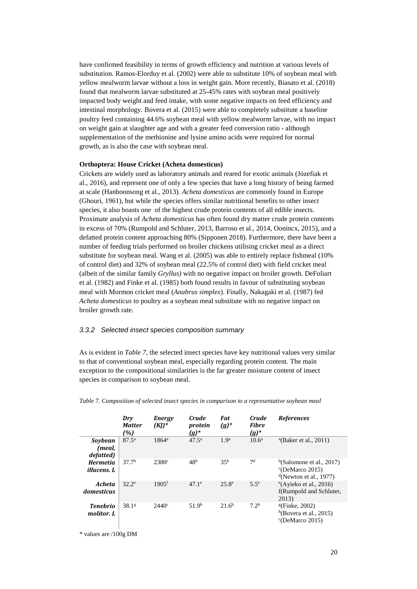have confirmed feasibility in terms of growth efficiency and nutrition at various levels of substitution. Ramos-Elorduy et al. (2002) were able to substitute 10% of soybean meal with yellow mealworm larvae without a loss in weight gain. More recently, Biasato et al. (2018) found that mealworm larvae substituted at 25-45% rates with soybean meal positively impacted body weight and feed intake, with some negative impacts on feed efficiency and intestinal morphology. Bovera et al. (2015) were able to completely substitute a baseline poultry feed containing 44.6% soybean meal with yellow mealworm larvae, with no impact on weight gain at slaughter age and with a greater feed conversion ratio - although supplementation of the methionine and lysine amino acids were required for normal growth, as is also the case with soybean meal.

#### **Orthoptera: House Cricket (Acheta domesticus)**

Crickets are widely used as laboratory animals and reared for exotic animals (Józefiak et al., 2016), and represent one of only a few species that have a long history of being farmed at scale (Hanboonsong et al., 2013). *Acheta domesticus* are commonly found in Europe (Ghouri, 1961), but while the species offers similar nutritional benefits to other insect species, it also boasts one of the highest crude protein contents of all edible insects. Proximate analysis of *Acheta domesticus* has often found dry matter crude protein contents in excess of 70% (Rumpold and Schluter, 2013, Barroso et al., 2014, Oonincx, 2015), and a defatted protein content approaching 80% (Sipponen 2018). Furthermore, there have been a number of feeding trials performed on broiler chickens utilising cricket meal as a direct substitute for soybean meal. Wang et al. (2005) was able to entirely replace fishmeal (10% of control diet) and 32% of soybean meal (22.5% of control diet) with field cricket meal (albeit of the similar family *Gryllus)* with no negative impact on broiler growth. DeFoliart et al. (1982) and Finke et al. (1985) both found results in favour of substituting soybean meal with Mormon cricket meal (*Anabrus simplex*). Finally, Nakagaki et al. (1987) fed *Acheta domesticus* to poultry as a soybean meal substitute with no negative impact on broiler growth rate.

#### *3.3.2 Selected insect species composition summary*

As is evident in *Table 7*, the selected insect species have key nutritional values very similar to that of conventional soybean meal, especially regarding protein content. The main exception to the compositional similarities is the far greater moisture content of insect species in comparison to soybean meal.

|                                       | Dry<br><b>Matter</b><br>(%) | <b>Energy</b><br>$(KJ)^*$ | <i>Crude</i><br>protein<br>$(g)^*$ | Fat<br>$(g)^*$    | <b>Crude</b><br><b>Fibre</b><br>$(g)^*$ | <b>References</b>                                                           |
|---------------------------------------|-----------------------------|---------------------------|------------------------------------|-------------------|-----------------------------------------|-----------------------------------------------------------------------------|
| Sovbean<br>(meal,<br>defatted)        | $87.5^{\circ}$              | $1864^a$                  | $47.5^{\rm a}$                     | 1.9 <sup>a</sup>  | $10.6^{\circ}$                          | <sup>a</sup> (Baker et al., 2011)                                           |
| <b>Hermetia</b><br><i>illucens. L</i> | 37.7 <sup>b</sup>           | $2380^\circ$              | 48 <sup>b</sup>                    | 35 <sup>b</sup>   | 7 <sup>d</sup>                          | b(Salomone et al., 2017)<br>$°C$ DeMarco 2015)<br>$d$ (Newton et al., 1977) |
| Acheta<br>domesticus                  | $32.2^e$                    | $1905$ <sup>f</sup>       | $47.1^e$                           | $25.8^{\circ}$    | $5.5^e$                                 | e(Ayieko et al., 2016)<br>f(Rumpold and Schluter,<br>2013)                  |
| <b>Tenebrio</b><br>molitor. L         | 38.1 <sup>g</sup>           | $2440^\circ$              | 51.9 <sup>h</sup>                  | 21.6 <sup>h</sup> | 7.2 <sup>h</sup>                        | $E$ (Finke, 2002)<br>h(Bovera et al., 2015)<br>$\degree$ (DeMarco 2015)     |

*Table 7. Composition of selected insect species in comparison to a representative soybean meal*

\* values are /100g DM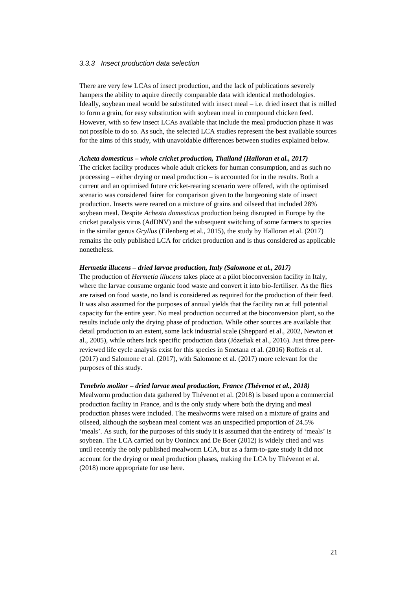#### *3.3.3 Insect production data selection*

There are very few LCAs of insect production, and the lack of publications severely hampers the ability to aquire directly comparable data with identical methodologies. Ideally, soybean meal would be substituted with insect meal – i.e. dried insect that is milled to form a grain, for easy substitution with soybean meal in compound chicken feed. However, with so few insect LCAs available that include the meal production phase it was not possible to do so. As such, the selected LCA studies represent the best available sources for the aims of this study, with unavoidable differences between studies explained below.

#### *Acheta domesticus – whole cricket production, Thailand (Halloran et al., 2017)*

The cricket facility produces whole adult crickets for human consumption, and as such no processing – either drying or meal production – is accounted for in the results. Both a current and an optimised future cricket-rearing scenario were offered, with the optimised scenario was considered fairer for comparison given to the burgeoning state of insect production. Insects were reared on a mixture of grains and oilseed that included 28% soybean meal. Despite *Achesta domesticus* production being disrupted in Europe by the cricket paralysis virus (AdDNV) and the subsequent switching of some farmers to species in the similar genus *Gryllus* (Eilenberg et al., 2015), the study by Halloran et al. (2017) remains the only published LCA for cricket production and is thus considered as applicable nonetheless.

#### *Hermetia illucens – dried larvae production, Italy (Salomone et al., 2017)*

The production of *Hermetia illucens* takes place at a pilot bioconversion facility in Italy, where the larvae consume organic food waste and convert it into bio-fertiliser. As the flies are raised on food waste, no land is considered as required for the production of their feed. It was also assumed for the purposes of annual yields that the facility ran at full potential capacity for the entire year. No meal production occurred at the bioconversion plant, so the results include only the drying phase of production. While other sources are available that detail production to an extent, some lack industrial scale (Sheppard et al., 2002, Newton et al., 2005), while others lack specific production data (Józefiak et al., 2016). Just three peerreviewed life cycle analysis exist for this species in Smetana et al. (2016) Roffeis et al. (2017) and Salomone et al. (2017), with Salomone et al. (2017) more relevant for the purposes of this study.

#### *Tenebrio molitor – dried larvae meal production, France (Thévenot et al., 2018)*

Mealworm production data gathered by Thévenot et al. (2018) is based upon a commercial production facility in France, and is the only study where both the drying and meal production phases were included. The mealworms were raised on a mixture of grains and oilseed, although the soybean meal content was an unspecified proportion of 24.5% 'meals'. As such, for the purposes of this study it is assumed that the entirety of 'meals' is soybean. The LCA carried out by Oonincx and De Boer (2012) is widely cited and was until recently the only published mealworm LCA, but as a farm-to-gate study it did not account for the drying or meal production phases, making the LCA by Thévenot et al. (2018) more appropriate for use here.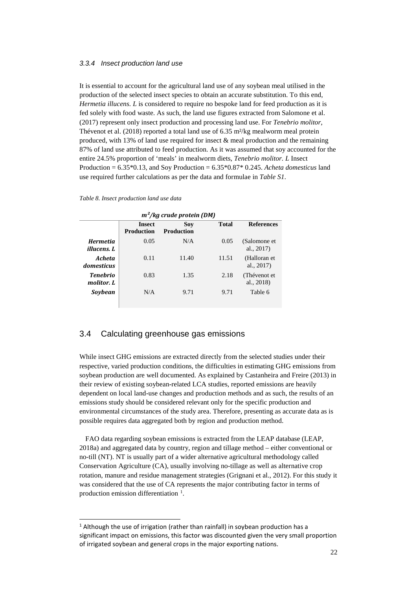#### *3.3.4 Insect production land use*

It is essential to account for the agricultural land use of any soybean meal utilised in the production of the selected insect species to obtain an accurate substitution. To this end, *Hermetia illucens. L* is considered to require no bespoke land for feed production as it is fed solely with food waste. As such, the land use figures extracted from Salomone et al. (2017) represent only insect production and processing land use. For *Tenebrio molitor*, Thévenot et al. (2018) reported a total land use of 6.35 m²/kg mealworm meal protein produced, with 13% of land use required for insect & meal production and the remaining 87% of land use attributed to feed production. As it was assumed that soy accounted for the entire 24.5% proportion of 'meals' in mealworm diets, *Tenebrio molitor. L* Insect Production = 6.35\*0.13, and Soy Production = 6.35\*0.87\* 0.245. *Acheta domesticus* land use required further calculations as per the data and formulae in *Table S1*.

#### *Table 8. Insect production land use data*

 $\overline{a}$ 

| $m^2$ /kg crude protein (DM)       |                          |              |                               |  |  |  |
|------------------------------------|--------------------------|--------------|-------------------------------|--|--|--|
| <b>Insect</b><br><b>Production</b> | Sov<br><b>Production</b> | <b>Total</b> | <b>References</b>             |  |  |  |
| 0.05                               | N/A                      | 0.05         | (Salomone et<br>al., 2017)    |  |  |  |
| 0.11                               | 11.40                    | 11.51        | (Halloran et<br>al., $2017$ ) |  |  |  |
| 0.83                               | 1.35                     | 2.18         | (Thévenot et<br>al., 2018)    |  |  |  |
| N/A                                | 9.71                     | 9.71         | Table 6                       |  |  |  |
|                                    |                          |              |                               |  |  |  |

### 3.4 Calculating greenhouse gas emissions

While insect GHG emissions are extracted directly from the selected studies under their respective, varied production conditions, the difficulties in estimating GHG emissions from soybean production are well documented. As explained by Castanheira and Freire (2013) in their review of existing soybean-related LCA studies, reported emissions are heavily dependent on local land-use changes and production methods and as such, the results of an emissions study should be considered relevant only for the specific production and environmental circumstances of the study area. Therefore, presenting as accurate data as is possible requires data aggregated both by region and production method.

FAO data regarding soybean emissions is extracted from the LEAP database (LEAP, 2018a) and aggregated data by country, region and tillage method – either conventional or no-till (NT). NT is usually part of a wider alternative agricultural methodology called Conservation Agriculture (CA), usually involving no-tillage as well as alternative crop rotation, manure and residue management strategies (Grignani et al., 2012). For this study it was considered that the use of CA represents the major contributing factor in terms of production emission differentiation <sup>[1](#page-21-0)</sup>.

<span id="page-21-0"></span> $1$  Although the use of irrigation (rather than rainfall) in soybean production has a significant impact on emissions, this factor was discounted given the very small proportion of irrigated soybean and general crops in the major exporting nations.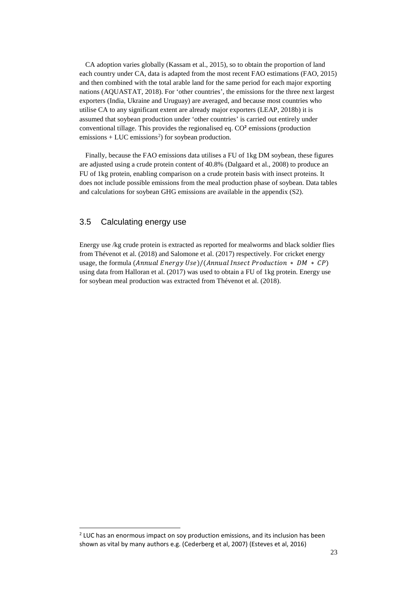CA adoption varies globally (Kassam et al., 2015), so to obtain the proportion of land each country under CA, data is adapted from the most recent FAO estimations (FAO, 2015) and then combined with the total arable land for the same period for each major exporting nations (AQUASTAT, 2018). For 'other countries', the emissions for the three next largest exporters (India, Ukraine and Uruguay) are averaged, and because most countries who utilise CA to any significant extent are already major exporters (LEAP, 2018b) it is assumed that soybean production under 'other countries' is carried out entirely under conventional tillage. This provides the regionalised eq. CO² emissions (production  $emissions + LUC$  emissions<sup>[2](#page-22-0)</sup>) for soybean production.

Finally, because the FAO emissions data utilises a FU of 1kg DM soybean, these figures are adjusted using a crude protein content of 40.8% (Dalgaard et al., 2008) to produce an FU of 1kg protein, enabling comparison on a crude protein basis with insect proteins. It does not include possible emissions from the meal production phase of soybean. Data tables and calculations for soybean GHG emissions are available in the appendix (S2).

### 3.5 Calculating energy use

 $\overline{a}$ 

Energy use /kg crude protein is extracted as reported for mealworms and black soldier flies from Thévenot et al. (2018) and Salomone et al. (2017) respectively. For cricket energy usage, the formula (Annual Energy Use)/(Annual Insect Production  $* DM * CP$ ) using data from Halloran et al. (2017) was used to obtain a FU of 1kg protein. Energy use for soybean meal production was extracted from Thévenot et al. (2018).

<span id="page-22-0"></span> $<sup>2</sup>$  LUC has an enormous impact on soy production emissions, and its inclusion has been</sup> shown as vital by many authors e.g. (Cederberg et al, 2007) (Esteves et al, 2016)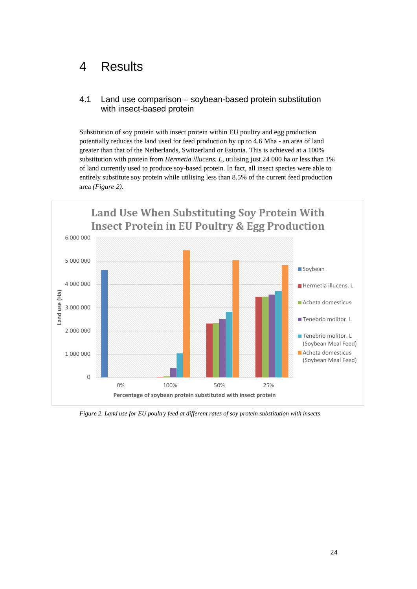## 4 Results

## 4.1 Land use comparison – soybean-based protein substitution with insect-based protein

Substitution of soy protein with insect protein within EU poultry and egg production potentially reduces the land used for feed production by up to 4.6 Mha - an area of land greater than that of the Netherlands, Switzerland or Estonia. This is achieved at a 100% substitution with protein from *Hermetia illucens. L*, utilising just 24 000 ha or less than 1% of land currently used to produce soy-based protein. In fact, all insect species were able to entirely substitute soy protein while utilising less than 8.5% of the current feed production area *(Figure 2)*.



<span id="page-23-0"></span>*Figure 2. Land use for EU poultry feed at different rates of soy protein substitution with insects*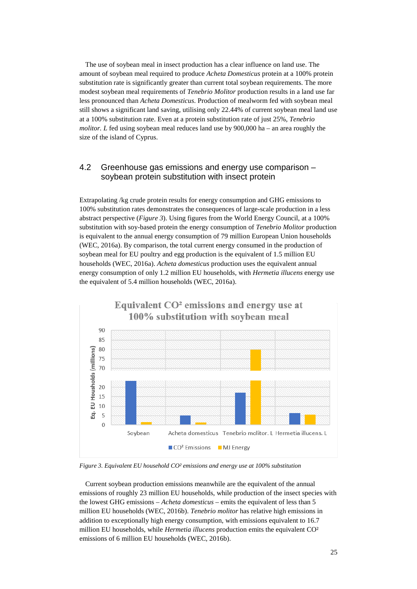The use of soybean meal in insect production has a clear influence on land use. The amount of soybean meal required to produce *Acheta Domesticus* protein at a 100% protein substitution rate is significantly greater than current total soybean requirements. The more modest soybean meal requirements of *Tenebrio Molitor* production results in a land use far less pronounced than *Acheta Domesticus*. Production of mealworm fed with soybean meal still shows a significant land saving, utilising only 22.44% of current soybean meal land use at a 100% substitution rate. Even at a protein substitution rate of just 25%, *Tenebrio molitor.* L fed using soybean meal reduces land use by 900,000 ha – an area roughly the size of the island of Cyprus.

### 4.2 Greenhouse gas emissions and energy use comparison – soybean protein substitution with insect protein

Extrapolating /kg crude protein results for energy consumption and GHG emissions to 100% substitution rates demonstrates the consequences of large-scale production in a less abstract perspective (*Figure 3*). Using figures from the World Energy Council, at a 100% substitution with soy-based protein the energy consumption of *Tenebrio Molitor* production is equivalent to the annual energy consumption of 79 million European Union households (WEC, 2016a). By comparison, the total current energy consumed in the production of soybean meal for EU poultry and egg production is the equivalent of 1.5 million EU households (WEC, 2016a). *Acheta domesticus* production uses the equivalent annual energy consumption of only 1.2 million EU households, with *Hermetia illucens* energy use the equivalent of 5.4 million households (WEC, 2016a).



<span id="page-24-0"></span>*Figure 3. Equivalent EU household CO² emissions and energy use at 100% substitution*

Current soybean production emissions meanwhile are the equivalent of the annual emissions of roughly 23 million EU households, while production of the insect species with the lowest GHG emissions – *Acheta domesticus* – emits the equivalent of less than 5 million EU households (WEC, 2016b). *Tenebrio molitor* has relative high emissions in addition to exceptionally high energy consumption, with emissions equivalent to 16.7 million EU households, while *Hermetia illucens* production emits the equivalent CO² emissions of 6 million EU households (WEC, 2016b).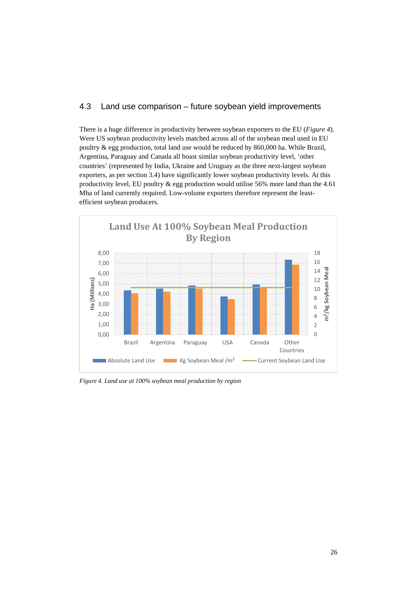## 4.3 Land use comparison – future soybean yield improvements

There is a huge difference in productivity between soybean exporters to the EU (*Figure 4*). Were US soybean productivity levels matched across all of the soybean meal used in EU poultry & egg production, total land use would be reduced by 860,000 ha. While Brazil, Argentina, Paraguay and Canada all boast similar soybean productivity level, 'other countries' (represented by India, Ukraine and Uruguay as the three next-largest soybean exporters, as per section 3.4) have significantly lower soybean productivity levels. At this productivity level, EU poultry & egg production would utilise 56% more land than the 4.61 Mha of land currently required. Low-volume exporters therefore represent the leastefficient soybean producers.



<span id="page-25-0"></span>*Figure 4. Land use at 100% soybean meal production by region*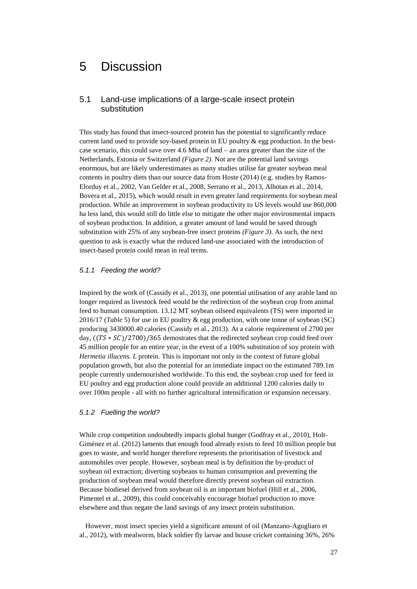## 5 Discussion

### 5.1 Land-use implications of a large-scale insect protein substitution

This study has found that insect-sourced protein has the potential to significantly reduce current land used to provide soy-based protein in EU poultry  $\&$  egg production. In the bestcase scenario, this could save over 4.6 Mha of land – an area greater than the size of the Netherlands, Estonia or Switzerland *(Figure 2)*. Not are the potential land savings enormous, but are likely underestimates as many studies utilise far greater soybean meal contents in poultry diets than our source data from Hoste (2014) (e.g. studies by Ramos-Elorduy et al., 2002, Van Gelder et al., 2008, Serrano et al., 2013, Alhotan et al., 2014, Bovera et al., 2015), which would result in even greater land requirements for soybean meal production. While an improvement in soybean productivity to US levels would use 860,000 ha less land, this would still do little else to mitigate the other major environmental impacts of soybean production. In addition, a greater amount of land would be saved through substitution with 25% of any soybean-free insect proteins *(Figure 3)*. As such, the next question to ask is exactly what the reduced land-use associated with the introduction of insect-based protein could mean in real terms.

#### *5.1.1 Feeding the world?*

Inspired by the work of (Cassidy et al., 2013), one potential utilisation of any arable land no longer required as livestock feed would be the redirection of the soybean crop from animal feed to human consumption. 13.12 MT soybean oilseed equivalents (TS) were imported in 2016/17 (*Table* 5) for use in EU poultry & egg production, with one tonne of soybean (SC) producing 3430000.40 calories (Cassidy et al., 2013). At a calorie requirement of 2700 per day,  $((TS * SC)/2700)/365$  demostrates that the redirected soybean crop could feed over 45 million people for an entire year, in the event of a 100% substitution of soy protein with *Hermetia illucens. L* protein. This is important not only in the context of future global population growth, but also the potential for an immediate impact on the estimated 789.1m people currently undernourished worldwide. To this end, the soybean crop used for feed in EU poultry and egg production alone could provide an additional 1200 calories daily to over 100m people - all with no further agricultural intensification or expansion necessary.

#### *5.1.2 Fuelling the world?*

While crop competition undoubtedly impacts global hunger (Godfray et al., 2010), Holt-Giménez et al. (2012) laments that enough food already exists to feed 10 million people but goes to waste, and world hunger therefore represents the prioritisation of livestock and automobiles over people. However, soybean meal is by definition the by-product of soybean oil extraction; diverting soybeans to human consumption and preventing the production of soybean meal would therefore directly prevent soybean oil extraction. Because biodiesel derived from soybean oil is an important biofuel (Hill et al., 2006, Pimentel et al., 2009), this could conceivably encourage biofuel production to move elsewhere and thus negate the land savings of any insect protein substitution.

However, most insect species yield a significant amount of oil (Manzano-Agugliaro et al., 2012), with mealworm, black soldier fly larvae and house cricket containing 36%, 26%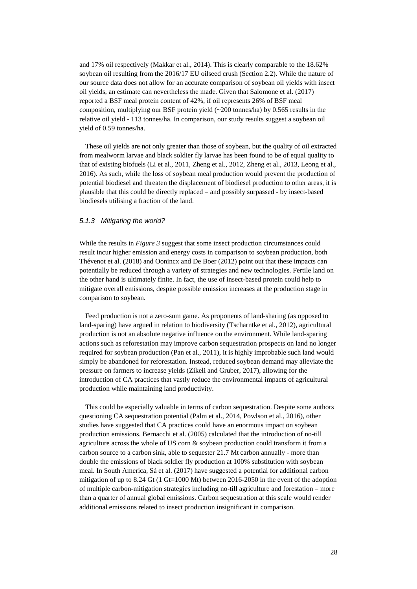and 17% oil respectively (Makkar et al., 2014). This is clearly comparable to the 18.62% soybean oil resulting from the 2016/17 EU oilseed crush (Section 2.2). While the nature of our source data does not allow for an accurate comparison of soybean oil yields with insect oil yields, an estimate can nevertheless the made. Given that Salomone et al. (2017) reported a BSF meal protein content of 42%, if oil represents 26% of BSF meal composition, multiplying our BSF protein yield  $\left(\sim 200 \text{ tonnes/ha}\right)$  by 0.565 results in the relative oil yield - 113 tonnes/ha. In comparison, our study results suggest a soybean oil yield of 0.59 tonnes/ha.

These oil yields are not only greater than those of soybean, but the quality of oil extracted from mealworm larvae and black soldier fly larvae has been found to be of equal quality to that of existing biofuels (Li et al., 2011, Zheng et al., 2012, Zheng et al., 2013, Leong et al., 2016). As such, while the loss of soybean meal production would prevent the production of potential biodiesel and threaten the displacement of biodiesel production to other areas, it is plausible that this could be directly replaced – and possibly surpassed - by insect-based biodiesels utilising a fraction of the land.

#### *5.1.3 Mitigating the world?*

While the results in *Figure 3* suggest that some insect production circumstances could result incur higher emission and energy costs in comparison to soybean production, both Thévenot et al. (2018) and Oonincx and De Boer (2012) point out that these impacts can potentially be reduced through a variety of strategies and new technologies. Fertile land on the other hand is ultimately finite. In fact, the use of insect-based protein could help to mitigate overall emissions, despite possible emission increases at the production stage in comparison to soybean.

Feed production is not a zero-sum game. As proponents of land-sharing (as opposed to land-sparing) have argued in relation to biodiversity (Tscharntke et al., 2012), agricultural production is not an absolute negative influence on the environment. While land-sparing actions such as reforestation may improve carbon sequestration prospects on land no longer required for soybean production (Pan et al., 2011), it is highly improbable such land would simply be abandoned for reforestation. Instead, reduced soybean demand may alleviate the pressure on farmers to increase yields (Zikeli and Gruber, 2017), allowing for the introduction of CA practices that vastly reduce the environmental impacts of agricultural production while maintaining land productivity.

This could be especially valuable in terms of carbon sequestration. Despite some authors questioning CA sequestration potential (Palm et al., 2014, Powlson et al., 2016), other studies have suggested that CA practices could have an enormous impact on soybean production emissions. Bernacchi et al. (2005) calculated that the introduction of no-till agriculture across the whole of US corn & soybean production could transform it from a carbon source to a carbon sink, able to sequester 21.7 Mt carbon annually - more than double the emissions of black soldier fly production at 100% substitution with soybean meal. In South America, Sá et al. (2017) have suggested a potential for additional carbon mitigation of up to 8.24 Gt (1 Gt=1000 Mt) between 2016-2050 in the event of the adoption of multiple carbon-mitigation strategies including no-till agriculture and forestation – more than a quarter of annual global emissions. Carbon sequestration at this scale would render additional emissions related to insect production insignificant in comparison.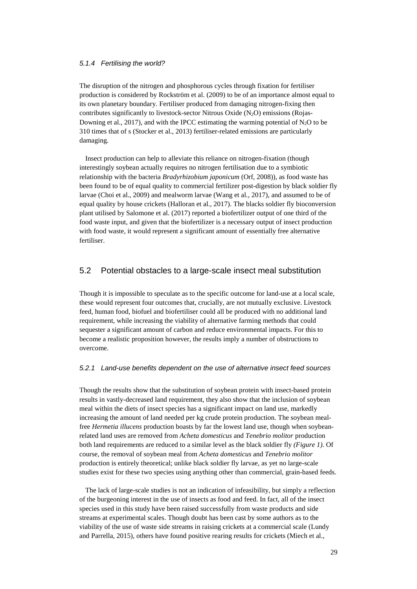#### *5.1.4 Fertilising the world?*

The disruption of the nitrogen and phosphorous cycles through fixation for fertiliser production is considered by Rockström et al. (2009) to be of an importance almost equal to its own planetary boundary. Fertiliser produced from damaging nitrogen-fixing then contributes significantly to livestock-sector Nitrous Oxide  $(N_2O)$  emissions (Rojas-Downing et al., 2017), and with the IPCC estimating the warming potential of  $N_2O$  to be 310 times that of s (Stocker et al., 2013) fertiliser-related emissions are particularly damaging.

Insect production can help to alleviate this reliance on nitrogen-fixation (though interestingly soybean actually requires no nitrogen fertilisation due to a symbiotic relationship with the bacteria *Bradyrhizobium japonicum* (Orf, 2008)), as food waste has been found to be of equal quality to commercial fertilizer post-digestion by black soldier fly larvae (Choi et al., 2009) and mealworm larvae (Wang et al., 2017), and assumed to be of equal quality by house crickets (Halloran et al., 2017). The blacks soldier fly bioconversion plant utilised by Salomone et al. (2017) reported a biofertilizer output of one third of the food waste input, and given that the biofertilizer is a necessary output of insect production with food waste, it would represent a significant amount of essentially free alternative fertiliser.

### 5.2 Potential obstacles to a large-scale insect meal substitution

Though it is impossible to speculate as to the specific outcome for land-use at a local scale, these would represent four outcomes that, crucially, are not mutually exclusive. Livestock feed, human food, biofuel and biofertiliser could all be produced with no additional land requirement, while increasing the viability of alternative farming methods that could sequester a significant amount of carbon and reduce environmental impacts. For this to become a realistic proposition however, the results imply a number of obstructions to overcome.

#### *5.2.1 Land-use benefits dependent on the use of alternative insect feed sources*

Though the results show that the substitution of soybean protein with insect-based protein results in vastly-decreased land requirement, they also show that the inclusion of soybean meal within the diets of insect species has a significant impact on land use, markedly increasing the amount of land needed per kg crude protein production. The soybean mealfree *Hermetia illucens* production boasts by far the lowest land use, though when soybeanrelated land uses are removed from *Acheta domesticus* and *Tenebrio molitor* production both land requirements are reduced to a similar level as the black soldier fly *(Figure 1)*. Of course, the removal of soybean meal from *Acheta domesticus* and *Tenebrio molitor*  production is entirely theoretical; unlike black soldier fly larvae, as yet no large-scale studies exist for these two species using anything other than commercial, grain-based feeds.

The lack of large-scale studies is not an indication of infeasibility, but simply a reflection of the burgeoning interest in the use of insects as food and feed. In fact, all of the insect species used in this study have been raised successfully from waste products and side streams at experimental scales. Though doubt has been cast by some authors as to the viability of the use of waste side streams in raising crickets at a commercial scale (Lundy and Parrella, 2015), others have found positive rearing results for crickets (Miech et al.,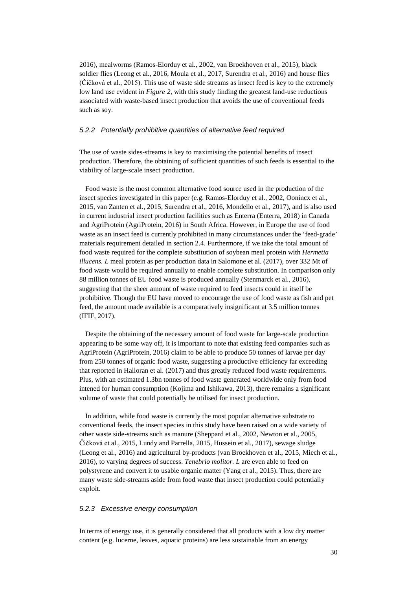2016), mealworms (Ramos-Elorduy et al., 2002, van Broekhoven et al., 2015), black soldier flies (Leong et al., 2016, Moula et al., 2017, Surendra et al., 2016) and house flies (Čičková et al., 2015). This use of waste side streams as insect feed is key to the extremely low land use evident in *Figure 2*, with this study finding the greatest land-use reductions associated with waste-based insect production that avoids the use of conventional feeds such as soy.

#### *5.2.2 Potentially prohibitive quantities of alternative feed required*

The use of waste sides-streams is key to maximising the potential benefits of insect production. Therefore, the obtaining of sufficient quantities of such feeds is essential to the viability of large-scale insect production.

Food waste is the most common alternative food source used in the production of the insect species investigated in this paper (e.g. Ramos-Elorduy et al., 2002, Oonincx et al., 2015, van Zanten et al., 2015, Surendra et al., 2016, Mondello et al., 2017), and is also used in current industrial insect production facilities such as Enterra (Enterra, 2018) in Canada and AgriProtein (AgriProtein, 2016) in South Africa. However, in Europe the use of food waste as an insect feed is currently prohibited in many circumstances under the 'feed-grade' materials requirement detailed in section 2.4. Furthermore, if we take the total amount of food waste required for the complete substitution of soybean meal protein with *Hermetia illucens. L* meal protein as per production data in Salomone et al. (2017), over 332 Mt of food waste would be required annually to enable complete substitution. In comparison only 88 million tonnes of EU food waste is produced annually (Stenmarck et al., 2016), suggesting that the sheer amount of waste required to feed insects could in itself be prohibitive. Though the EU have moved to encourage the use of food waste as fish and pet feed, the amount made available is a comparatively insignificant at 3.5 million tonnes (IFIF, 2017).

Despite the obtaining of the necessary amount of food waste for large-scale production appearing to be some way off, it is important to note that existing feed companies such as AgriProtein (AgriProtein, 2016) claim to be able to produce 50 tonnes of larvae per day from 250 tonnes of organic food waste, suggesting a productive efficiency far exceeding that reported in Halloran et al. (2017) and thus greatly reduced food waste requirements. Plus, with an estimated 1.3bn tonnes of food waste generated worldwide only from food intened for human consumption (Kojima and Ishikawa, 2013), there remains a significant volume of waste that could potentially be utilised for insect production.

In addition, while food waste is currently the most popular alternative substrate to conventional feeds, the insect species in this study have been raised on a wide variety of other waste side-streams such as manure (Sheppard et al., 2002, Newton et al., 2005, Čičková et al., 2015, Lundy and Parrella, 2015, Hussein et al., 2017), sewage sludge (Leong et al., 2016) and agricultural by-products (van Broekhoven et al., 2015, Miech et al., 2016), to varying degrees of success. *Tenebrio molitor. L* are even able to feed on polystyrene and convert it to usable organic matter (Yang et al., 2015). Thus, there are many waste side-streams aside from food waste that insect production could potentially exploit.

#### *5.2.3 Excessive energy consumption*

In terms of energy use, it is generally considered that all products with a low dry matter content (e.g. lucerne, leaves, aquatic proteins) are less sustainable from an energy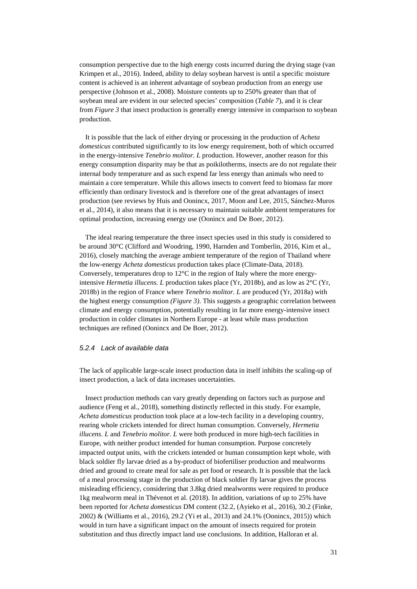consumption perspective due to the high energy costs incurred during the drying stage (van Krimpen et al., 2016). Indeed, ability to delay soybean harvest is until a specific moisture content is achieved is an inherent advantage of soybean production from an energy use perspective (Johnson et al., 2008). Moisture contents up to 250% greater than that of soybean meal are evident in our selected species' composition (*Table 7*), and it is clear from *Figure 3* that insect production is generally energy intensive in comparison to soybean production.

It is possible that the lack of either drying or processing in the production of *Acheta domesticus* contributed significantly to its low energy requirement, both of which occurred in the energy-intensive *Tenebrio molitor. L* production. However, another reason for this energy consumption disparity may be that as poikilotherms, insects are do not regulate their internal body temperature and as such expend far less energy than animals who need to maintain a core temperature. While this allows insects to convert feed to biomass far more efficiently than ordinary livestock and is therefore one of the great advantages of insect production (see reviews by Huis and Oonincx, 2017, Moon and Lee, 2015, Sánchez-Muros et al., 2014), it also means that it is necessary to maintain suitable ambient temperatures for optimal production, increasing energy use (Oonincx and De Boer, 2012).

The ideal rearing temperature the three insect species used in this study is considered to be around 30°C (Clifford and Woodring, 1990, Harnden and Tomberlin, 2016, Kim et al., 2016), closely matching the average ambient temperature of the region of Thailand where the low-energy *Acheta domesticus* production takes place (Climate-Data, 2018). Conversely, temperatures drop to  $12^{\circ}$ C in the region of Italy where the more energyintensive *Hermetia illucens. L* production takes place (Yr, 2018b), and as low as 2°C (Yr, 2018b) in the region of France where *Tenebrio molitor. L* are produced (Yr, 2018a) with the highest energy consumption *(Figure 3)*. This suggests a geographic correlation between climate and energy consumption, potentially resulting in far more energy-intensive insect production in colder climates in Northern Europe - at least while mass production techniques are refined (Oonincx and De Boer, 2012).

### *5.2.4 Lack of available data*

The lack of applicable large-scale insect production data in itself inhibits the scaling-up of insect production, a lack of data increases uncertainties.

Insect production methods can vary greatly depending on factors such as purpose and audience (Feng et al., 2018), something distinctly reflected in this study. For example, *Acheta domesticus* production took place at a low-tech facility in a developing country, rearing whole crickets intended for direct human consumption. Conversely, *Hermetia illucens. L* and *Tenebrio molitor. L* were both produced in more high-tech facilities in Europe, with neither product intended for human consumption. Purpose concretely impacted output units, with the crickets intended or human consumption kept whole, with black soldier fly larvae dried as a by-product of biofertiliser production and mealworms dried and ground to create meal for sale as pet food or research. It is possible that the lack of a meal processing stage in the production of black soldier fly larvae gives the process misleading efficiency, considering that 3.8kg dried mealworms were required to produce 1kg mealworm meal in Thévenot et al. (2018). In addition, variations of up to 25% have been reported for *Acheta domesticus* DM content (32.2, (Ayieko et al., 2016), 30.2 (Finke, 2002) & (Williams et al., 2016), 29.2 (Yi et al., 2013) and 24.1% (Oonincx, 2015)) which would in turn have a significant impact on the amount of insects required for protein substitution and thus directly impact land use conclusions. In addition, Halloran et al.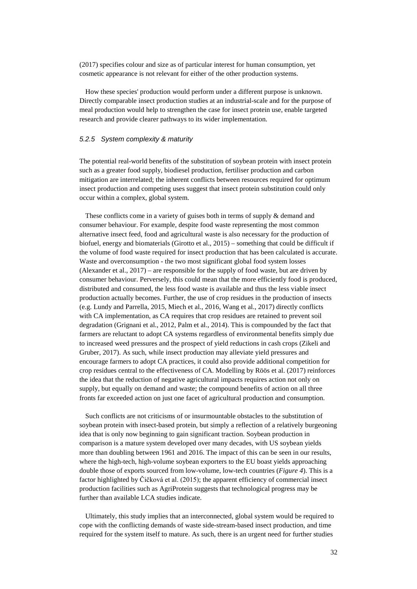(2017) specifies colour and size as of particular interest for human consumption, yet cosmetic appearance is not relevant for either of the other production systems.

How these species' production would perform under a different purpose is unknown. Directly comparable insect production studies at an industrial-scale and for the purpose of meal production would help to strengthen the case for insect protein use, enable targeted research and provide clearer pathways to its wider implementation.

#### *5.2.5 System complexity & maturity*

The potential real-world benefits of the substitution of soybean protein with insect protein such as a greater food supply, biodiesel production, fertiliser production and carbon mitigation are interrelated; the inherent conflicts between resources required for optimum insect production and competing uses suggest that insect protein substitution could only occur within a complex, global system.

These conflicts come in a variety of guises both in terms of supply & demand and consumer behaviour. For example, despite food waste representing the most common alternative insect feed, food and agricultural waste is also necessary for the production of biofuel, energy and biomaterials (Girotto et al., 2015) – something that could be difficult if the volume of food waste required for insect production that has been calculated is accurate. Waste and overconsumption - the two most significant global food system losses (Alexander et al., 2017) – are responsible for the supply of food waste, but are driven by consumer behaviour. Perversely, this could mean that the more efficiently food is produced, distributed and consumed, the less food waste is available and thus the less viable insect production actually becomes. Further, the use of crop residues in the production of insects (e.g. Lundy and Parrella, 2015, Miech et al., 2016, Wang et al., 2017) directly conflicts with CA implementation, as CA requires that crop residues are retained to prevent soil degradation (Grignani et al., 2012, Palm et al., 2014). This is compounded by the fact that farmers are reluctant to adopt CA systems regardless of environmental benefits simply due to increased weed pressures and the prospect of yield reductions in cash crops (Zikeli and Gruber, 2017). As such, while insect production may alleviate yield pressures and encourage farmers to adopt CA practices, it could also provide additional competition for crop residues central to the effectiveness of CA. Modelling by Röös et al. (2017) reinforces the idea that the reduction of negative agricultural impacts requires action not only on supply, but equally on demand and waste; the compound benefits of action on all three fronts far exceeded action on just one facet of agricultural production and consumption.

Such conflicts are not criticisms of or insurmountable obstacles to the substitution of soybean protein with insect-based protein, but simply a reflection of a relatively burgeoning idea that is only now beginning to gain significant traction. Soybean production in comparison is a mature system developed over many decades, with US soybean yields more than doubling between 1961 and 2016. The impact of this can be seen in our results, where the high-tech, high-volume soybean exporters to the EU boast yields approaching double those of exports sourced from low-volume, low-tech countries (*Figure 4*). This is a factor highlighted by Čičková et al. (2015); the apparent efficiency of commercial insect production facilities such as AgriProtein suggests that technological progress may be further than available LCA studies indicate.

Ultimately, this study implies that an interconnected, global system would be required to cope with the conflicting demands of waste side-stream-based insect production, and time required for the system itself to mature. As such, there is an urgent need for further studies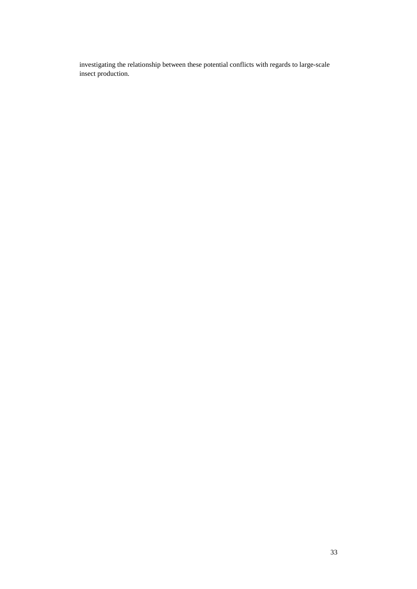investigating the relationship between these potential conflicts with regards to large-scale insect production.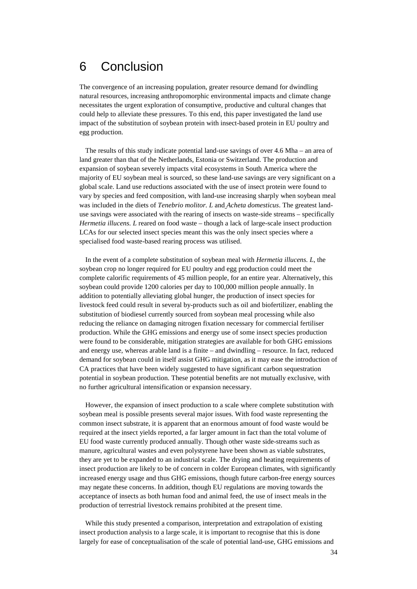## 6 Conclusion

The convergence of an increasing population, greater resource demand for dwindling natural resources, increasing anthropomorphic environmental impacts and climate change necessitates the urgent exploration of consumptive, productive and cultural changes that could help to alleviate these pressures. To this end, this paper investigated the land use impact of the substitution of soybean protein with insect-based protein in EU poultry and egg production.

The results of this study indicate potential land-use savings of over 4.6 Mha – an area of land greater than that of the Netherlands, Estonia or Switzerland. The production and expansion of soybean severely impacts vital ecosystems in South America where the majority of EU soybean meal is sourced, so these land-use savings are very significant on a global scale. Land use reductions associated with the use of insect protein were found to vary by species and feed composition, with land-use increasing sharply when soybean meal was included in the diets of *Tenebrio molitor. L* and *Acheta domesticus*. The greatest landuse savings were associated with the rearing of insects on waste-side streams – specifically *Hermetia illucens. L* reared on food waste – though a lack of large-scale insect production LCAs for our selected insect species meant this was the only insect species where a specialised food waste-based rearing process was utilised.

In the event of a complete substitution of soybean meal with *Hermetia illucens. L*, the soybean crop no longer required for EU poultry and egg production could meet the complete calorific requirements of 45 million people, for an entire year. Alternatively, this soybean could provide 1200 calories per day to 100,000 million people annually. In addition to potentially alleviating global hunger, the production of insect species for livestock feed could result in several by-products such as oil and biofertilizer, enabling the substitution of biodiesel currently sourced from soybean meal processing while also reducing the reliance on damaging nitrogen fixation necessary for commercial fertiliser production. While the GHG emissions and energy use of some insect species production were found to be considerable, mitigation strategies are available for both GHG emissions and energy use, whereas arable land is a finite – and dwindling – resource. In fact, reduced demand for soybean could in itself assist GHG mitigation, as it may ease the introduction of CA practices that have been widely suggested to have significant carbon sequestration potential in soybean production. These potential benefits are not mutually exclusive, with no further agricultural intensification or expansion necessary.

However, the expansion of insect production to a scale where complete substitution with soybean meal is possible presents several major issues. With food waste representing the common insect substrate, it is apparent that an enormous amount of food waste would be required at the insect yields reported, a far larger amount in fact than the total volume of EU food waste currently produced annually. Though other waste side-streams such as manure, agricultural wastes and even polystyrene have been shown as viable substrates, they are yet to be expanded to an industrial scale. The drying and heating requirements of insect production are likely to be of concern in colder European climates, with significantly increased energy usage and thus GHG emissions, though future carbon-free energy sources may negate these concerns. In addition, though EU regulations are moving towards the acceptance of insects as both human food and animal feed, the use of insect meals in the production of terrestrial livestock remains prohibited at the present time.

While this study presented a comparison, interpretation and extrapolation of existing insect production analysis to a large scale, it is important to recognise that this is done largely for ease of conceptualisation of the scale of potential land-use, GHG emissions and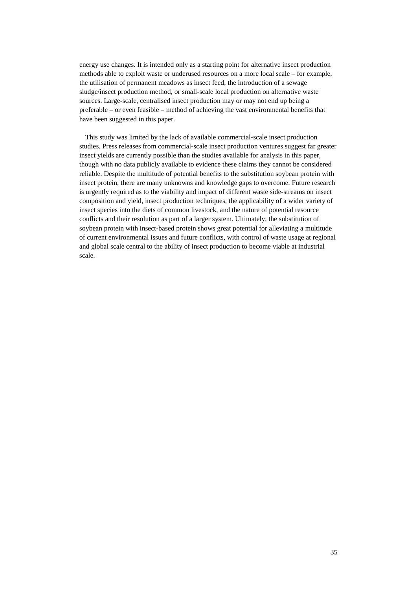energy use changes. It is intended only as a starting point for alternative insect production methods able to exploit waste or underused resources on a more local scale – for example, the utilisation of permanent meadows as insect feed, the introduction of a sewage sludge/insect production method, or small-scale local production on alternative waste sources. Large-scale, centralised insect production may or may not end up being a preferable – or even feasible – method of achieving the vast environmental benefits that have been suggested in this paper.

This study was limited by the lack of available commercial-scale insect production studies. Press releases from commercial-scale insect production ventures suggest far greater insect yields are currently possible than the studies available for analysis in this paper, though with no data publicly available to evidence these claims they cannot be considered reliable. Despite the multitude of potential benefits to the substitution soybean protein with insect protein, there are many unknowns and knowledge gaps to overcome. Future research is urgently required as to the viability and impact of different waste side-streams on insect composition and yield, insect production techniques, the applicability of a wider variety of insect species into the diets of common livestock, and the nature of potential resource conflicts and their resolution as part of a larger system. Ultimately, the substitution of soybean protein with insect-based protein shows great potential for alleviating a multitude of current environmental issues and future conflicts, with control of waste usage at regional and global scale central to the ability of insect production to become viable at industrial scale.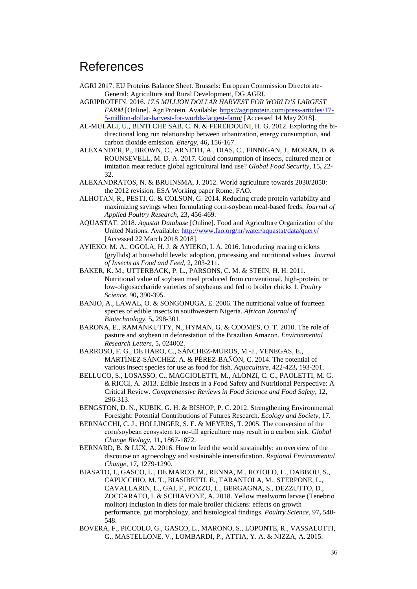## References

- AGRI 2017. EU Proteins Balance Sheet. Brussels: European Commission Directorate-General: Agriculture and Rural Development, DG AGRI.
- AGRIPROTEIN. 2016. *17.5 MILLION DOLLAR HARVEST FOR WORLD'S LARGEST FARM* [Online]. AgriProtein. Available: [https://agriprotein.com/press-articles/17-](https://agriprotein.com/press-articles/17-5-million-dollar-harvest-for-worlds-largest-farm/) [5-million-dollar-harvest-for-worlds-largest-farm/](https://agriprotein.com/press-articles/17-5-million-dollar-harvest-for-worlds-largest-farm/) [Accessed 14 May 2018].
- AL-MULALI, U., BINTI CHE SAB, C. N. & FEREIDOUNI, H. G. 2012. Exploring the bidirectional long run relationship between urbanization, energy consumption, and carbon dioxide emission. *Energy,* 46**,** 156-167.
- ALEXANDER, P., BROWN, C., ARNETH, A., DIAS, C., FINNIGAN, J., MORAN, D. & ROUNSEVELL, M. D. A. 2017. Could consumption of insects, cultured meat or imitation meat reduce global agricultural land use? *Global Food Security,* 15**,** 22- 32.
- ALEXANDRATOS, N. & BRUINSMA, J. 2012. World agriculture towards 2030/2050: the 2012 revision. ESA Working paper Rome, FAO.
- ALHOTAN, R., PESTI, G. & COLSON, G. 2014. Reducing crude protein variability and maximizing savings when formulating corn-soybean meal-based feeds. *Journal of Applied Poultry Research,* 23**,** 456-469.
- AQUASTAT. 2018. *Aqustat Database* [Online]. Food and Agriculture Organization of the United Nations. Available:<http://www.fao.org/nr/water/aquastat/data/query/> [Accessed 22 March 2018 2018].
- AYIEKO, M. A., OGOLA, H. J. & AYIEKO, I. A. 2016. Introducing rearing crickets (gryllids) at household levels: adoption, processing and nutritional values. *Journal of Insects as Food and Feed,* 2**,** 203-211.
- BAKER, K. M., UTTERBACK, P. L., PARSONS, C. M. & STEIN, H. H. 2011. Nutritional value of soybean meal produced from conventional, high-protein, or low-oligosaccharide varieties of soybeans and fed to broiler chicks 1. *Poultry Science,* 90**,** 390-395.
- BANJO, A., LAWAL, O. & SONGONUGA, E. 2006. The nutritional value of fourteen species of edible insects in southwestern Nigeria. *African Journal of Biotechnology,* 5**,** 298-301.
- BARONA, E., RAMANKUTTY, N., HYMAN, G. & COOMES, O. T. 2010. The role of pasture and soybean in deforestation of the Brazilian Amazon. *Environmental Research Letters,* 5**,** 024002.
- BARROSO, F. G., DE HARO, C., SÁNCHEZ-MUROS, M.-J., VENEGAS, E., MARTÍNEZ-SÁNCHEZ, A. & PÉREZ-BAÑÓN, C. 2014. The potential of various insect species for use as food for fish. *Aquaculture,* 422-423**,** 193-201.
- BELLUCO, S., LOSASSO, C., MAGGIOLETTI, M., ALONZI, C. C., PAOLETTI, M. G. & RICCI, A. 2013. Edible Insects in a Food Safety and Nutritional Perspective: A Critical Review. *Comprehensive Reviews in Food Science and Food Safety,* 12**,** 296-313.
- BENGSTON, D. N., KUBIK, G. H. & BISHOP, P. C. 2012. Strengthening Environmental Foresight: Potential Contributions of Futures Research. *Ecology and Society,* 17.
- BERNACCHI, C. J., HOLLINGER, S. E. & MEYERS, T. 2005. The conversion of the corn/soybean ecosystem to no‐till agriculture may result in a carbon sink. *Global Change Biology,* 11**,** 1867-1872.
- BERNARD, B. & LUX, A. 2016. How to feed the world sustainably: an overview of the discourse on agroecology and sustainable intensification. *Regional Environmental Change,* 17**,** 1279-1290.
- BIASATO, I., GASCO, L., DE MARCO, M., RENNA, M., ROTOLO, L., DABBOU, S., CAPUCCHIO, M. T., BIASIBETTI, E., TARANTOLA, M., STERPONE, L., CAVALLARIN, L., GAI, F., POZZO, L., BERGAGNA, S., DEZZUTTO, D., ZOCCARATO, I. & SCHIAVONE, A. 2018. Yellow mealworm larvae (Tenebrio molitor) inclusion in diets for male broiler chickens: effects on growth performance, gut morphology, and histological findings. *Poultry Science,* 97**,** 540- 548.
- BOVERA, F., PICCOLO, G., GASCO, L., MARONO, S., LOPONTE, R., VASSALOTTI, G., MASTELLONE, V., LOMBARDI, P., ATTIA, Y. A. & NIZZA, A. 2015.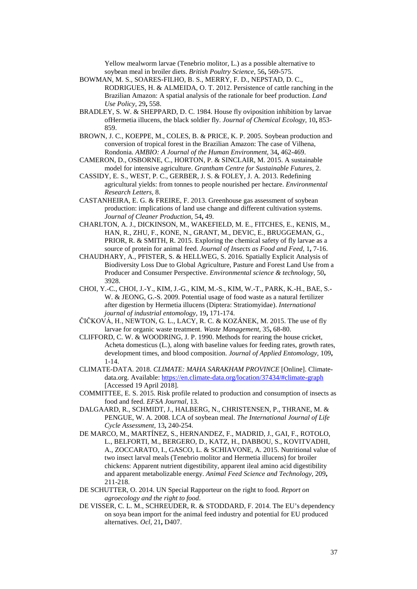Yellow mealworm larvae (Tenebrio molitor, L.) as a possible alternative to soybean meal in broiler diets. *British Poultry Science,* 56**,** 569-575.

- BOWMAN, M. S., SOARES-FILHO, B. S., MERRY, F. D., NEPSTAD, D. C., RODRIGUES, H. & ALMEIDA, O. T. 2012. Persistence of cattle ranching in the Brazilian Amazon: A spatial analysis of the rationale for beef production. *Land Use Policy,* 29**,** 558.
- BRADLEY, S. W. & SHEPPARD, D. C. 1984. House fly oviposition inhibition by larvae ofHermetia illucens, the black soldier fly. *Journal of Chemical Ecology,* 10**,** 853- 859.
- BROWN, J. C., KOEPPE, M., COLES, B. & PRICE, K. P. 2005. Soybean production and conversion of tropical forest in the Brazilian Amazon: The case of Vilhena, Rondonia. *AMBIO: A Journal of the Human Environment,* 34**,** 462-469.
- CAMERON, D., OSBORNE, C., HORTON, P. & SINCLAIR, M. 2015. A sustainable model for intensive agriculture. *Grantham Centre for Sustainable Futures,* 2.
- CASSIDY, E. S., WEST, P. C., GERBER, J. S. & FOLEY, J. A. 2013. Redefining agricultural yields: from tonnes to people nourished per hectare. *Environmental Research Letters,* 8.
- CASTANHEIRA, E. G. & FREIRE, F. 2013. Greenhouse gas assessment of soybean production: implications of land use change and different cultivation systems. *Journal of Cleaner Production,* 54**,** 49.
- CHARLTON, A. J., DICKINSON, M., WAKEFIELD, M. E., FITCHES, E., KENIS, M., HAN, R., ZHU, F., KONE, N., GRANT, M., DEVIC, E., BRUGGEMAN, G., PRIOR, R. & SMITH, R. 2015. Exploring the chemical safety of fly larvae as a source of protein for animal feed. *Journal of Insects as Food and Feed,* 1**,** 7-16.
- CHAUDHARY, A., PFISTER, S. & HELLWEG, S. 2016. Spatially Explicit Analysis of Biodiversity Loss Due to Global Agriculture, Pasture and Forest Land Use from a Producer and Consumer Perspective. *Environmental science & technology,* 50**,** 3928.
- CHOI, Y.-C., CHOI, J.-Y., KIM, J.-G., KIM, M.-S., KIM, W.-T., PARK, K.-H., BAE, S.- W. & JEONG, G.-S. 2009. Potential usage of food waste as a natural fertilizer after digestion by Hermetia illucens (Diptera: Stratiomyidae). *International journal of industrial entomology,* 19**,** 171-174.
- ČIČKOVÁ, H., NEWTON, G. L., LACY, R. C. & KOZÁNEK, M. 2015. The use of fly larvae for organic waste treatment. *Waste Management,* 35**,** 68-80.
- CLIFFORD, C. W. & WOODRING, J. P. 1990. Methods for rearing the house cricket, Acheta domesticus (L.), along with baseline values for feeding rates, growth rates, development times, and blood composition. *Journal of Applied Entomology,* 109**,** 1-14.
- CLIMATE-DATA. 2018. *CLIMATE: MAHA SARAKHAM PROVINCE* [Online]. Climatedata.org. Available:<https://en.climate-data.org/location/37434/#climate-graph> [Accessed 19 April 2018].
- COMMITTEE, E. S. 2015. Risk profile related to production and consumption of insects as food and feed. *EFSA Journal,* 13.
- DALGAARD, R., SCHMIDT, J., HALBERG, N., CHRISTENSEN, P., THRANE, M. & PENGUE, W. A. 2008. LCA of soybean meal. *The International Journal of Life Cycle Assessment,* 13**,** 240-254.
- DE MARCO, M., MARTÍNEZ, S., HERNANDEZ, F., MADRID, J., GAI, F., ROTOLO, L., BELFORTI, M., BERGERO, D., KATZ, H., DABBOU, S., KOVITVADHI, A., ZOCCARATO, I., GASCO, L. & SCHIAVONE, A. 2015. Nutritional value of two insect larval meals (Tenebrio molitor and Hermetia illucens) for broiler chickens: Apparent nutrient digestibility, apparent ileal amino acid digestibility and apparent metabolizable energy. *Animal Feed Science and Technology,* 209**,** 211-218.
- DE SCHUTTER, O. 2014. UN Special Rapporteur on the right to food. *Report on agroecology and the right to food*.
- DE VISSER, C. L. M., SCHREUDER, R. & STODDARD, F. 2014. The EU's dependency on soya bean import for the animal feed industry and potential for EU produced alternatives. *Ocl,* 21**,** D407.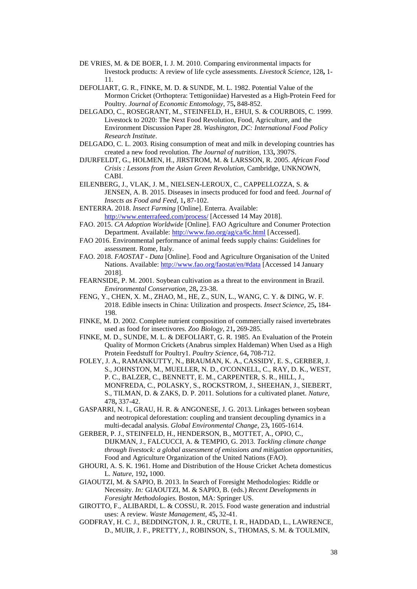- DE VRIES, M. & DE BOER, I. J. M. 2010. Comparing environmental impacts for livestock products: A review of life cycle assessments. *Livestock Science,* 128**,** 1- 11.
- DEFOLIART, G. R., FINKE, M. D. & SUNDE, M. L. 1982. Potential Value of the Mormon Cricket (Orthoptera: Tettigoniidae) Harvested as a High-Protein Feed for Poultry. *Journal of Economic Entomology,* 75**,** 848-852.
- DELGADO, C., ROSEGRANT, M., STEINFELD, H., EHUI, S. & COURBOIS, C. 1999. Livestock to 2020: The Next Food Revolution, Food, Agriculture, and the Environment Discussion Paper 28. *Washington, DC: International Food Policy Research Institute*.
- DELGADO, C. L. 2003. Rising consumption of meat and milk in developing countries has created a new food revolution. *The Journal of nutrition,* 133**,** 3907S.
- DJURFELDT, G., HOLMEN, H., JIRSTROM, M. & LARSSON, R. 2005. *African Food Crisis : Lessons from the Asian Green Revolution,* Cambridge, UNKNOWN, CABI.
- EILENBERG, J., VLAK, J. M., NIELSEN-LEROUX, C., CAPPELLOZZA, S. & JENSEN, A. B. 2015. Diseases in insects produced for food and feed. *Journal of Insects as Food and Feed,* 1**,** 87-102.
- ENTERRA. 2018. *Insect Farming* [Online]. Enterra. Available: <http://www.enterrafeed.com/process/> [Accessed 14 May 2018].
- FAO. 2015. *CA Adoption Worldwide* [Online]. FAO Agriculture and Conumer Protection Department. Available:<http://www.fao.org/ag/ca/6c.html> [Accessed].
- FAO 2016. Environmental performance of animal feeds supply chains: Guidelines for assessment. Rome, Italy.
- FAO. 2018. *FAOSTAT - Data* [Online]. Food and Agriculture Organisation of the United Nations. Available[: http://www.fao.org/faostat/en/#data](http://www.fao.org/faostat/en/#data) [Accessed 14 January 2018].
- FEARNSIDE, P. M. 2001. Soybean cultivation as a threat to the environment in Brazil. *Environmental Conservation,* 28**,** 23-38.
- FENG, Y., CHEN, X. M., ZHAO, M., HE, Z., SUN, L., WANG, C. Y. & DING, W. F. 2018. Edible insects in China: Utilization and prospects. *Insect Science,* 25**,** 184- 198.
- FINKE, M. D. 2002. Complete nutrient composition of commercially raised invertebrates used as food for insectivores. *Zoo Biology,* 21**,** 269-285.
- FINKE, M. D., SUNDE, M. L. & DEFOLIART, G. R. 1985. An Evaluation of the Protein Quality of Mormon Crickets (Anabrus simplex Haldeman) When Used as a High Protein Feedstuff for Poultry1. *Poultry Science,* 64**,** 708-712.
- FOLEY, J. A., RAMANKUTTY, N., BRAUMAN, K. A., CASSIDY, E. S., GERBER, J. S., JOHNSTON, M., MUELLER, N. D., O'CONNELL, C., RAY, D. K., WEST, P. C., BALZER, C., BENNETT, E. M., CARPENTER, S. R., HILL, J., MONFREDA, C., POLASKY, S., ROCKSTROM, J., SHEEHAN, J., SIEBERT, S., TILMAN, D. & ZAKS, D. P. 2011. Solutions for a cultivated planet. *Nature,* 478**,** 337-42.
- GASPARRI, N. I., GRAU, H. R. & ANGONESE, J. G. 2013. Linkages between soybean and neotropical deforestation: coupling and transient decoupling dynamics in a multi-decadal analysis. *Global Environmental Change,* 23**,** 1605-1614.
- GERBER, P. J., STEINFELD, H., HENDERSON, B., MOTTET, A., OPIO, C., DIJKMAN, J., FALCUCCI, A. & TEMPIO, G. 2013. *Tackling climate change through livestock: a global assessment of emissions and mitigation opportunities*, Food and Agriculture Organization of the United Nations (FAO).
- GHOURI, A. S. K. 1961. Home and Distribution of the House Cricket Acheta domesticus L. *Nature,* 192**,** 1000.
- GIAOUTZI, M. & SAPIO, B. 2013. In Search of Foresight Methodologies: Riddle or Necessity. *In:* GIAOUTZI, M. & SAPIO, B. (eds.) *Recent Developments in Foresight Methodologies.* Boston, MA: Springer US.
- GIROTTO, F., ALIBARDI, L. & COSSU, R. 2015. Food waste generation and industrial uses: A review. *Waste Management,* 45**,** 32-41.
- GODFRAY, H. C. J., BEDDINGTON, J. R., CRUTE, I. R., HADDAD, L., LAWRENCE, D., MUIR, J. F., PRETTY, J., ROBINSON, S., THOMAS, S. M. & TOULMIN,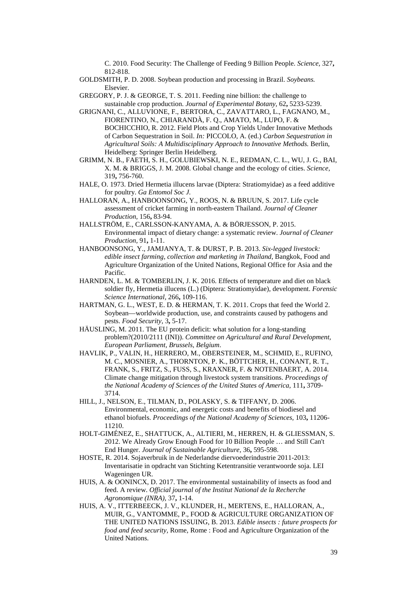C. 2010. Food Security: The Challenge of Feeding 9 Billion People. *Science,* 327**,** 812-818.

GOLDSMITH, P. D. 2008. Soybean production and processing in Brazil. *Soybeans.* Elsevier.

GREGORY, P. J. & GEORGE, T. S. 2011. Feeding nine billion: the challenge to sustainable crop production. *Journal of Experimental Botany,* 62**,** 5233-5239.

- GRIGNANI, C., ALLUVIONE, F., BERTORA, C., ZAVATTARO, L., FAGNANO, M., FIORENTINO, N., CHIARANDÀ, F. Q., AMATO, M., LUPO, F. & BOCHICCHIO, R. 2012. Field Plots and Crop Yields Under Innovative Methods of Carbon Sequestration in Soil. *In:* PICCOLO, A. (ed.) *Carbon Sequestration in Agricultural Soils: A Multidisciplinary Approach to Innovative Methods.* Berlin, Heidelberg: Springer Berlin Heidelberg.
- GRIMM, N. B., FAETH, S. H., GOLUBIEWSKI, N. E., REDMAN, C. L., WU, J. G., BAI, X. M. & BRIGGS, J. M. 2008. Global change and the ecology of cities. *Science,* 319**,** 756-760.
- HALE, O. 1973. Dried Hermetia illucens larvae (Diptera: Stratiomyidae) as a feed additive for poultry. *Ga Entomol Soc J*.
- HALLORAN, A., HANBOONSONG, Y., ROOS, N. & BRUUN, S. 2017. Life cycle assessment of cricket farming in north-eastern Thailand. *Journal of Cleaner Production,* 156**,** 83-94.
- HALLSTRÖM, E., CARLSSON-KANYAMA, A. & BÖRJESSON, P. 2015. Environmental impact of dietary change: a systematic review. *Journal of Cleaner Production,* 91**,** 1-11.
- HANBOONSONG, Y., JAMJANYA, T. & DURST, P. B. 2013. *Six-legged livestock: edible insect farming, collection and marketing in Thailand,* Bangkok, Food and Agriculture Organization of the United Nations, Regional Office for Asia and the Pacific.
- HARNDEN, L. M. & TOMBERLIN, J. K. 2016. Effects of temperature and diet on black soldier fly, Hermetia illucens (L.) (Diptera: Stratiomyidae), development. *Forensic Science International,* 266**,** 109-116.
- HARTMAN, G. L., WEST, E. D. & HERMAN, T. K. 2011. Crops that feed the World 2. Soybean—worldwide production, use, and constraints caused by pathogens and pests. *Food Security,* 3**,** 5-17.
- HÄUSLING, M. 2011. The EU protein deficit: what solution for a long-standing problem?(2010/2111 (INI)). *Committee on Agricultural and Rural Development, European Parliament, Brussels, Belgium*.
- HAVLIK, P., VALIN, H., HERRERO, M., OBERSTEINER, M., SCHMID, E., RUFINO, M. C., MOSNIER, A., THORNTON, P. K., BÖTTCHER, H., CONANT, R. T., FRANK, S., FRITZ, S., FUSS, S., KRAXNER, F. & NOTENBAERT, A. 2014. Climate change mitigation through livestock system transitions. *Proceedings of the National Academy of Sciences of the United States of America,* 111**,** 3709- 3714.
- HILL, J., NELSON, E., TILMAN, D., POLASKY, S. & TIFFANY, D. 2006. Environmental, economic, and energetic costs and benefits of biodiesel and ethanol biofuels. *Proceedings of the National Academy of Sciences,* 103**,** 11206- 11210.
- HOLT-GIMÉNEZ, E., SHATTUCK, A., ALTIERI, M., HERREN, H. & GLIESSMAN, S. 2012. We Already Grow Enough Food for 10 Billion People … and Still Can't End Hunger. *Journal of Sustainable Agriculture,* 36**,** 595-598.
- HOSTE, R. 2014. Sojaverbruik in de Nederlandse diervoederindustrie 2011-2013: Inventarisatie in opdracht van Stichting Ketentransitie verantwoorde soja. LEI Wageningen UR.
- HUIS, A. & OONINCX, D. 2017. The environmental sustainability of insects as food and feed. A review. *Official journal of the Institut National de la Recherche Agronomique (INRA),* 37**,** 1-14.
- HUIS, A. V., ITTERBEECK, J. V., KLUNDER, H., MERTENS, E., HALLORAN, A., MUIR, G., VANTOMME, P., FOOD & AGRICULTURE ORGANIZATION OF THE UNITED NATIONS ISSUING, B. 2013. *Edible insects : future prospects for food and feed security,* Rome, Rome : Food and Agriculture Organization of the United Nations.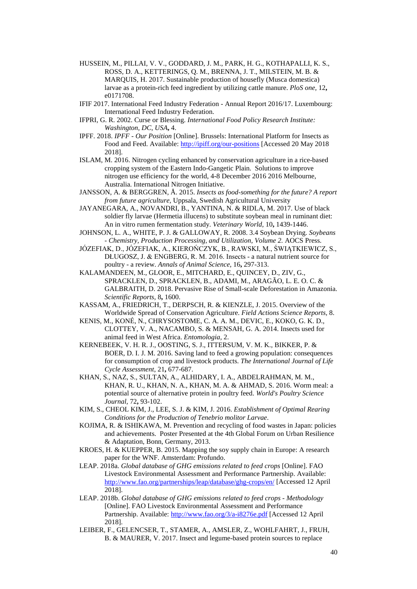- HUSSEIN, M., PILLAI, V. V., GODDARD, J. M., PARK, H. G., KOTHAPALLI, K. S., ROSS, D. A., KETTERINGS, Q. M., BRENNA, J. T., MILSTEIN, M. B. & MARQUIS, H. 2017. Sustainable production of housefly (Musca domestica) larvae as a protein-rich feed ingredient by utilizing cattle manure. *PloS one,* 12**,** e0171708.
- IFIF 2017. International Feed Industry Federation Annual Report 2016/17. Luxembourg: International Feed Industry Federation.
- IFPRI, G. R. 2002. Curse or Blessing. *International Food Policy Research Institute: Washington, DC, USA***,** 4.
- IPFF. 2018. *IPFF - Our Position* [Online]. Brussels: International Platform for Insects as Food and Feed. Available:<http://ipiff.org/our-positions> [Accessed 20 May 2018 2018].
- ISLAM, M. 2016. Nitrogen cycling enhanced by conservation agriculture in a rice-based cropping system of the Eastern Indo-Gangetic Plain. Solutions to improve nitrogen use efficiency for the world, 4-8 December 2016 2016 Melbourne, Australia. International Nitrogen Initiative.
- JANSSON, A. & BERGGREN, Å. 2015. *Insects as food-something for the future? A report from future agriculture,* Uppsala, Swedish Agricultural University
- JAYANEGARA, A., NOVANDRI, B., YANTINA, N. & RIDLA, M. 2017. Use of black soldier fly larvae (Hermetia illucens) to substitute soybean meal in ruminant diet: An in vitro rumen fermentation study. *Veterinary World,* 10**,** 1439-1446.
- JOHNSON, L. A., WHITE, P. J. & GALLOWAY, R. 2008. 3.4 Soybean Drying. *Soybeans - Chemistry, Production Processing, and Utilization, Volume 2.* AOCS Press.
- JÓZEFIAK, D., JÓZEFIAK, A., KIEROŃCZYK, B., RAWSKI, M., ŚWIĄTKIEWICZ, S., DŁUGOSZ, J. & ENGBERG, R. M. 2016. Insects - a natural nutrient source for poultry - a review. *Annals of Animal Science,* 16**,** 297-313.
- KALAMANDEEN, M., GLOOR, E., MITCHARD, E., QUINCEY, D., ZIV, G., SPRACKLEN, D., SPRACKLEN, B., ADAMI, M., ARAGÃO, L. E. O. C. & GALBRAITH, D. 2018. Pervasive Rise of Small-scale Deforestation in Amazonia. *Scientific Reports,* 8**,** 1600.
- KASSAM, A., FRIEDRICH, T., DERPSCH, R. & KIENZLE, J. 2015. Overview of the Worldwide Spread of Conservation Agriculture. *Field Actions Science Reports,* 8.
- KENIS, M., KONÉ, N., CHRYSOSTOME, C. A. A. M., DEVIC, E., KOKO, G. K. D., CLOTTEY, V. A., NACAMBO, S. & MENSAH, G. A. 2014. Insects used for animal feed in West Africa. *Entomologia,* 2.
- KERNEBEEK, V. H. R. J., OOSTING, S. J., ITTERSUM, V. M. K., BIKKER, P. & BOER, D. I. J. M. 2016. Saving land to feed a growing population: consequences for consumption of crop and livestock products. *The International Journal of Life Cycle Assessment,* 21**,** 677-687.
- KHAN, S., NAZ, S., SULTAN, A., ALHIDARY, I. A., ABDELRAHMAN, M. M., KHAN, R. U., KHAN, N. A., KHAN, M. A. & AHMAD, S. 2016. Worm meal: a potential source of alternative protein in poultry feed. *World's Poultry Science Journal,* 72**,** 93-102.
- KIM, S., CHEOL KIM, J., LEE, S. J. & KIM, J. 2016. *Establishment of Optimal Rearing Conditions for the Production of Tenebrio molitor Larvae*.
- KOJIMA, R. & ISHIKAWA, M. Prevention and recycling of food wastes in Japan: policies and achievements. Poster Presented at the 4th Global Forum on Urban Resilience & Adaptation, Bonn, Germany, 2013.
- KROES, H. & KUEPPER, B. 2015. Mapping the soy supply chain in Europe: A research paper for the WNF. Amsterdam: Profundo.
- LEAP. 2018a. *Global database of GHG emissions related to feed crops* [Online]. FAO Livestock Environmental Assessment and Performance Partnership. Available: <http://www.fao.org/partnerships/leap/database/ghg-crops/en/> [Accessed 12 April 2018].
- LEAP. 2018b. *Global database of GHG emissions related to feed crops - Methodology*  [Online]. FAO Livestock Environmental Assessment and Performance Partnership. Available:<http://www.fao.org/3/a-i8276e.pdf> [Accessed 12 April 2018].
- LEIBER, F., GELENCSER, T., STAMER, A., AMSLER, Z., WOHLFAHRT, J., FRUH, B. & MAURER, V. 2017. Insect and legume-based protein sources to replace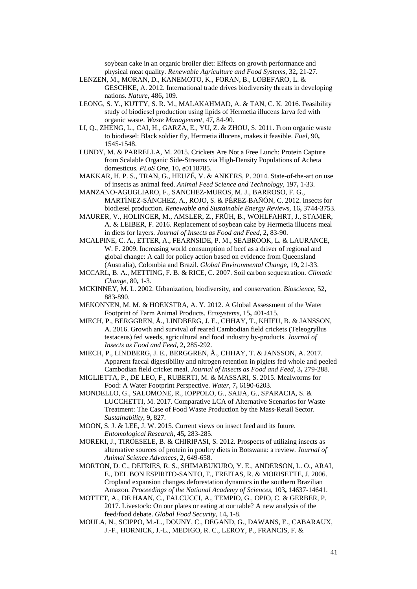soybean cake in an organic broiler diet: Effects on growth performance and physical meat quality. *Renewable Agriculture and Food Systems,* 32**,** 21-27.

- LENZEN, M., MORAN, D., KANEMOTO, K., FORAN, B., LOBEFARO, L. & GESCHKE, A. 2012. International trade drives biodiversity threats in developing nations. *Nature,* 486**,** 109.
- LEONG, S. Y., KUTTY, S. R. M., MALAKAHMAD, A. & TAN, C. K. 2016. Feasibility study of biodiesel production using lipids of Hermetia illucens larva fed with organic waste. *Waste Management,* 47**,** 84-90.
- LI, Q., ZHENG, L., CAI, H., GARZA, E., YU, Z. & ZHOU, S. 2011. From organic waste to biodiesel: Black soldier fly, Hermetia illucens, makes it feasible. *Fuel,* 90**,** 1545-1548.
- LUNDY, M. & PARRELLA, M. 2015. Crickets Are Not a Free Lunch: Protein Capture from Scalable Organic Side-Streams via High-Density Populations of Acheta domesticus. *PLoS One,* 10**,** e0118785.
- MAKKAR, H. P. S., TRAN, G., HEUZÉ, V. & ANKERS, P. 2014. State-of-the-art on use of insects as animal feed. *Animal Feed Science and Technology,* 197**,** 1-33.
- MANZANO-AGUGLIARO, F., SANCHEZ-MUROS, M. J., BARROSO, F. G., MARTÍNEZ-SÁNCHEZ, A., ROJO, S. & PÉREZ-BAÑÓN, C. 2012. Insects for biodiesel production. *Renewable and Sustainable Energy Reviews,* 16**,** 3744-3753.
- MAURER, V., HOLINGER, M., AMSLER, Z., FRÜH, B., WOHLFAHRT, J., STAMER, A. & LEIBER, F. 2016. Replacement of soybean cake by Hermetia illucens meal in diets for layers. *Journal of Insects as Food and Feed,* 2**,** 83-90.
- MCALPINE, C. A., ETTER, A., FEARNSIDE, P. M., SEABROOK, L. & LAURANCE, W. F. 2009. Increasing world consumption of beef as a driver of regional and global change: A call for policy action based on evidence from Queensland (Australia), Colombia and Brazil. *Global Environmental Change,* 19**,** 21-33.
- MCCARL, B. A., METTING, F. B. & RICE, C. 2007. Soil carbon sequestration. *Climatic Change,* 80**,** 1-3.
- MCKINNEY, M. L. 2002. Urbanization, biodiversity, and conservation. *Bioscience,* 52**,** 883-890.
- MEKONNEN, M. M. & HOEKSTRA, A. Y. 2012. A Global Assessment of the Water Footprint of Farm Animal Products. *Ecosystems,* 15**,** 401-415.
- MIECH, P., BERGGREN, Å., LINDBERG, J. E., CHHAY, T., KHIEU, B. & JANSSON, A. 2016. Growth and survival of reared Cambodian field crickets (Teleogryllus testaceus) fed weeds, agricultural and food industry by-products. *Journal of Insects as Food and Feed,* 2**,** 285-292.
- MIECH, P., LINDBERG, J. E., BERGGREN, Å., CHHAY, T. & JANSSON, A. 2017. Apparent faecal digestibility and nitrogen retention in piglets fed whole and peeled Cambodian field cricket meal. *Journal of Insects as Food and Feed,* 3**,** 279-288.
- MIGLIETTA, P., DE LEO, F., RUBERTI, M. & MASSARI, S. 2015. Mealworms for Food: A Water Footprint Perspective. *Water,* 7**,** 6190-6203.
- MONDELLO, G., SALOMONE, R., IOPPOLO, G., SAIJA, G., SPARACIA, S. & LUCCHETTI, M. 2017. Comparative LCA of Alternative Scenarios for Waste Treatment: The Case of Food Waste Production by the Mass-Retail Sector. *Sustainability,* 9**,** 827.
- MOON, S. J. & LEE, J. W. 2015. Current views on insect feed and its future. *Entomological Research,* 45**,** 283-285.
- MOREKI, J., TIROESELE, B. & CHIRIPASI, S. 2012. Prospects of utilizing insects as alternative sources of protein in poultry diets in Botswana: a review. *Journal of Animal Science Advances,* 2**,** 649-658.
- MORTON, D. C., DEFRIES, R. S., SHIMABUKURO, Y. E., ANDERSON, L. O., ARAI, E., DEL BON ESPIRITO-SANTO, F., FREITAS, R. & MORISETTE, J. 2006. Cropland expansion changes deforestation dynamics in the southern Brazilian Amazon. *Proceedings of the National Academy of Sciences,* 103**,** 14637-14641.
- MOTTET, A., DE HAAN, C., FALCUCCI, A., TEMPIO, G., OPIO, C. & GERBER, P. 2017. Livestock: On our plates or eating at our table? A new analysis of the feed/food debate. *Global Food Security,* 14**,** 1-8.
- MOULA, N., SCIPPO, M.-L., DOUNY, C., DEGAND, G., DAWANS, E., CABARAUX, J.-F., HORNICK, J.-L., MEDIGO, R. C., LEROY, P., FRANCIS, F. &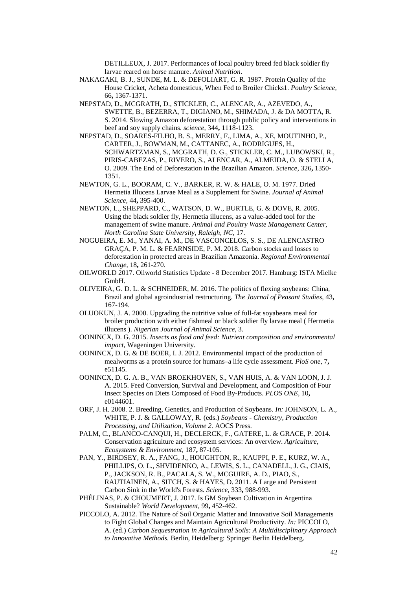DETILLEUX, J. 2017. Performances of local poultry breed fed black soldier fly larvae reared on horse manure. *Animal Nutrition*.

- NAKAGAKI, B. J., SUNDE, M. L. & DEFOLIART, G. R. 1987. Protein Quality of the House Cricket, Acheta domesticus, When Fed to Broiler Chicks1. *Poultry Science,* 66**,** 1367-1371.
- NEPSTAD, D., MCGRATH, D., STICKLER, C., ALENCAR, A., AZEVEDO, A., SWETTE, B., BEZERRA, T., DIGIANO, M., SHIMADA, J. & DA MOTTA, R. S. 2014. Slowing Amazon deforestation through public policy and interventions in beef and soy supply chains. *science,* 344**,** 1118-1123.
- NEPSTAD, D., SOARES-FILHO, B. S., MERRY, F., LIMA, A., XE, MOUTINHO, P., CARTER, J., BOWMAN, M., CATTANEC, A., RODRIGUES, H., SCHWARTZMAN, S., MCGRATH, D. G., STICKLER, C. M., LUBOWSKI, R., PIRIS-CABEZAS, P., RIVERO, S., ALENCAR, A., ALMEIDA, O. & STELLA, O. 2009. The End of Deforestation in the Brazilian Amazon. *Science,* 326**,** 1350- 1351.
- NEWTON, G. L., BOORAM, C. V., BARKER, R. W. & HALE, O. M. 1977. Dried Hermetia Illucens Larvae Meal as a Supplement for Swine. *Journal of Animal Science,* 44**,** 395-400.
- NEWTON, L., SHEPPARD, C., WATSON, D. W., BURTLE, G. & DOVE, R. 2005. Using the black soldier fly, Hermetia illucens, as a value-added tool for the management of swine manure. *Animal and Poultry Waste Management Center, North Carolina State University, Raleigh, NC,* 17.
- NOGUEIRA, E. M., YANAI, A. M., DE VASCONCELOS, S. S., DE ALENCASTRO GRAÇA, P. M. L. & FEARNSIDE, P. M. 2018. Carbon stocks and losses to deforestation in protected areas in Brazilian Amazonia. *Regional Environmental Change,* 18**,** 261-270.
- OILWORLD 2017. Oilworld Statistics Update 8 December 2017. Hamburg: ISTA Mielke GmbH.
- OLIVEIRA, G. D. L. & SCHNEIDER, M. 2016. The politics of flexing soybeans: China, Brazil and global agroindustrial restructuring. *The Journal of Peasant Studies,* 43**,** 167-194.
- OLUOKUN, J. A. 2000. Upgrading the nutritive value of full-fat soyabeans meal for broiler production with either fishmeal or black soldier fly larvae meal ( Hermetia illucens ). *Nigerian Journal of Animal Science,* 3.
- OONINCX, D. G. 2015. *Insects as food and feed: Nutrient composition and environmental impact*, Wageningen University.
- OONINCX, D. G. & DE BOER, I. J. 2012. Environmental impact of the production of mealworms as a protein source for humans–a life cycle assessment. *PloS one,* 7**,** e51145.
- OONINCX, D. G. A. B., VAN BROEKHOVEN, S., VAN HUIS, A. & VAN LOON, J. J. A. 2015. Feed Conversion, Survival and Development, and Composition of Four Insect Species on Diets Composed of Food By-Products. *PLOS ONE,* 10**,** e0144601.
- ORF, J. H. 2008. 2. Breeding, Genetics, and Production of Soybeans. *In:* JOHNSON, L. A., WHITE, P. J. & GALLOWAY, R. (eds.) *Soybeans - Chemistry, Production Processing, and Utilization, Volume 2.* AOCS Press.
- PALM, C., BLANCO-CANQUI, H., DECLERCK, F., GATERE, L. & GRACE, P. 2014. Conservation agriculture and ecosystem services: An overview. *Agriculture, Ecosystems & Environment,* 187**,** 87-105.
- PAN, Y., BIRDSEY, R. A., FANG, J., HOUGHTON, R., KAUPPI, P. E., KURZ, W. A., PHILLIPS, O. L., SHVIDENKO, A., LEWIS, S. L., CANADELL, J. G., CIAIS, P., JACKSON, R. B., PACALA, S. W., MCGUIRE, A. D., PIAO, S., RAUTIAINEN, A., SITCH, S. & HAYES, D. 2011. A Large and Persistent Carbon Sink in the World's Forests. *Science,* 333**,** 988-993.
- PHÉLINAS, P. & CHOUMERT, J. 2017. Is GM Soybean Cultivation in Argentina Sustainable? *World Development,* 99**,** 452-462.
- PICCOLO, A. 2012. The Nature of Soil Organic Matter and Innovative Soil Managements to Fight Global Changes and Maintain Agricultural Productivity. *In:* PICCOLO, A. (ed.) *Carbon Sequestration in Agricultural Soils: A Multidisciplinary Approach to Innovative Methods.* Berlin, Heidelberg: Springer Berlin Heidelberg.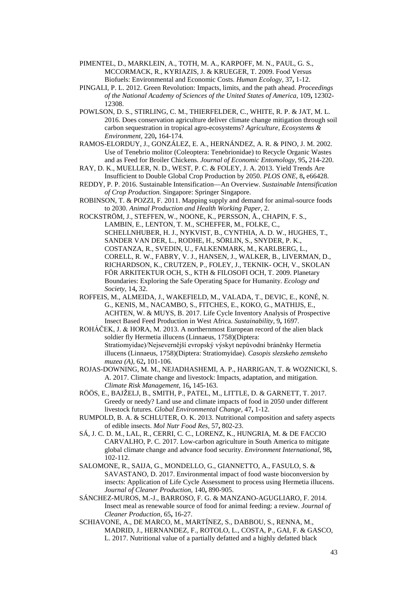- PIMENTEL, D., MARKLEIN, A., TOTH, M. A., KARPOFF, M. N., PAUL, G. S., MCCORMACK, R., KYRIAZIS, J. & KRUEGER, T. 2009. Food Versus Biofuels: Environmental and Economic Costs. *Human Ecology,* 37**,** 1-12.
- PINGALI, P. L. 2012. Green Revolution: Impacts, limits, and the path ahead. *Proceedings of the National Academy of Sciences of the United States of America,* 109**,** 12302- 12308.
- POWLSON, D. S., STIRLING, C. M., THIERFELDER, C., WHITE, R. P. & JAT, M. L. 2016. Does conservation agriculture deliver climate change mitigation through soil carbon sequestration in tropical agro-ecosystems? *Agriculture, Ecosystems & Environment,* 220**,** 164-174.
- RAMOS-ELORDUY, J., GONZÁLEZ, E. A., HERNÁNDEZ, A. R. & PINO, J. M. 2002. Use of Tenebrio molitor (Coleoptera: Tenebrionidae) to Recycle Organic Wastes and as Feed for Broiler Chickens. *Journal of Economic Entomology,* 95**,** 214-220.
- RAY, D. K., MUELLER, N. D., WEST, P. C. & FOLEY, J. A. 2013. Yield Trends Are Insufficient to Double Global Crop Production by 2050. *PLOS ONE,* 8**,** e66428.
- REDDY, P. P. 2016. Sustainable Intensification—An Overview. *Sustainable Intensification of Crop Production.* Singapore: Springer Singapore.
- ROBINSON, T. & POZZI, F. 2011. Mapping supply and demand for animal-source foods to 2030. *Animal Production and Health Working Paper,* 2.
- ROCKSTRÖM, J., STEFFEN, W., NOONE, K., PERSSON, Å., CHAPIN, F. S., LAMBIN, E., LENTON, T. M., SCHEFFER, M., FOLKE, C., SCHELLNHUBER, H. J., NYKVIST, B., CYNTHIA, A. D. W., HUGHES, T., SANDER VAN DER, L., RODHE, H., SÖRLIN, S., SNYDER, P. K., COSTANZA, R., SVEDIN, U., FALKENMARK, M., KARLBERG, L., CORELL, R. W., FABRY, V. J., HANSEN, J., WALKER, B., LIVERMAN, D., RICHARDSON, K., CRUTZEN, P., FOLEY, J., TEKNIK- OCH, V., SKOLAN FÖR ARKITEKTUR OCH, S., KTH & FILOSOFI OCH, T. 2009. Planetary Boundaries: Exploring the Safe Operating Space for Humanity. *Ecology and Society,* 14**,** 32.
- ROFFEIS, M., ALMEIDA, J., WAKEFIELD, M., VALADA, T., DEVIC, E., KONÉ, N. G., KENIS, M., NACAMBO, S., FITCHES, E., KOKO, G., MATHIJS, E., ACHTEN, W. & MUYS, B. 2017. Life Cycle Inventory Analysis of Prospective Insect Based Feed Production in West Africa. *Sustainability,* 9**,** 1697.
- ROHÁČEK, J. & HORA, M. 2013. A northernmost European record of the alien black soldier fly Hermetia illucens (Linnaeus, 1758)(Diptera: Stratiomyidae)/Nejsevernější evropský výskyt nepůvodní bráněnky Hermetia illucens (Linnaeus, 1758)(Diptera: Stratiomyidae). *Casopis slezskeho zemskeho muzea (A),* 62**,** 101-106.
- ROJAS-DOWNING, M. M., NEJADHASHEMI, A. P., HARRIGAN, T. & WOZNICKI, S. A. 2017. Climate change and livestock: Impacts, adaptation, and mitigation. *Climate Risk Management,* 16**,** 145-163.
- RÖÖS, E., BAJŽELJ, B., SMITH, P., PATEL, M., LITTLE, D. & GARNETT, T. 2017. Greedy or needy? Land use and climate impacts of food in 2050 under different livestock futures. *Global Environmental Change,* 47**,** 1-12.
- RUMPOLD, B. A. & SCHLUTER, O. K. 2013. Nutritional composition and safety aspects of edible insects. *Mol Nutr Food Res,* 57**,** 802-23.
- SÁ, J. C. D. M., LAL, R., CERRI, C. C., LORENZ, K., HUNGRIA, M. & DE FACCIO CARVALHO, P. C. 2017. Low-carbon agriculture in South America to mitigate global climate change and advance food security. *Environment International,* 98**,**  $102 - 112$ .
- SALOMONE, R., SAIJA, G., MONDELLO, G., GIANNETTO, A., FASULO, S. & SAVASTANO, D. 2017. Environmental impact of food waste bioconversion by insects: Application of Life Cycle Assessment to process using Hermetia illucens. *Journal of Cleaner Production,* 140**,** 890-905.
- SÁNCHEZ-MUROS, M.-J., BARROSO, F. G. & MANZANO-AGUGLIARO, F. 2014. Insect meal as renewable source of food for animal feeding: a review. *Journal of Cleaner Production,* 65**,** 16-27.
- SCHIAVONE, A., DE MARCO, M., MARTÍNEZ, S., DABBOU, S., RENNA, M., MADRID, J., HERNANDEZ, F., ROTOLO, L., COSTA, P., GAI, F. & GASCO, L. 2017. Nutritional value of a partially defatted and a highly defatted black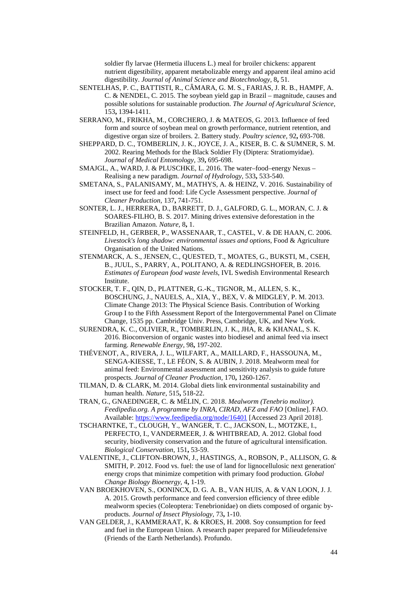soldier fly larvae (Hermetia illucens L.) meal for broiler chickens: apparent nutrient digestibility, apparent metabolizable energy and apparent ileal amino acid digestibility. *Journal of Animal Science and Biotechnology,* 8**,** 51.

- SENTELHAS, P. C., BATTISTI, R., CÂMARA, G. M. S., FARIAS, J. R. B., HAMPF, A. C. & NENDEL, C. 2015. The soybean yield gap in Brazil – magnitude, causes and possible solutions for sustainable production. *The Journal of Agricultural Science,* 153**,** 1394-1411.
- SERRANO, M., FRIKHA, M., CORCHERO, J. & MATEOS, G. 2013. Influence of feed form and source of soybean meal on growth performance, nutrient retention, and digestive organ size of broilers. 2. Battery study. *Poultry science,* 92**,** 693-708.
- SHEPPARD, D. C., TOMBERLIN, J. K., JOYCE, J. A., KISER, B. C. & SUMNER, S. M. 2002. Rearing Methods for the Black Soldier Fly (Diptera: Stratiomyidae). *Journal of Medical Entomology,* 39**,** 695-698.
- SMAJGL, A., WARD, J. & PLUSCHKE, L. 2016. The water–food–energy Nexus Realising a new paradigm. *Journal of Hydrology,* 533**,** 533-540.
- SMETANA, S., PALANISAMY, M., MATHYS, A. & HEINZ, V. 2016. Sustainability of insect use for feed and food: Life Cycle Assessment perspective. *Journal of Cleaner Production,* 137**,** 741-751.
- SONTER, L. J., HERRERA, D., BARRETT, D. J., GALFORD, G. L., MORAN, C. J. & SOARES-FILHO, B. S. 2017. Mining drives extensive deforestation in the Brazilian Amazon. *Nature,* 8**,** 1.
- STEINFELD, H., GERBER, P., WASSENAAR, T., CASTEL, V. & DE HAAN, C. 2006. *Livestock's long shadow: environmental issues and options*, Food & Agriculture Organisation of the United Nations.
- STENMARCK, A. S., JENSEN, C., QUESTED, T., MOATES, G., BUKSTI, M., CSEH, B., JUUL, S., PARRY, A., POLITANO, A. & REDLINGSHOFER, B. 2016. *Estimates of European food waste levels*, IVL Swedish Environmental Research Institute.
- STOCKER, T. F., QIN, D., PLATTNER, G.-K., TIGNOR, M., ALLEN, S. K., BOSCHUNG, J., NAUELS, A., XIA, Y., BEX, V. & MIDGLEY, P. M. 2013. Climate Change 2013: The Physical Science Basis. Contribution of Working Group I to the Fifth Assessment Report of the Intergovernmental Panel on Climate Change, 1535 pp. Cambridge Univ. Press, Cambridge, UK, and New York.
- SURENDRA, K. C., OLIVIER, R., TOMBERLIN, J. K., JHA, R. & KHANAL, S. K. 2016. Bioconversion of organic wastes into biodiesel and animal feed via insect farming. *Renewable Energy,* 98**,** 197-202.
- THÉVENOT, A., RIVERA, J. L., WILFART, A., MAILLARD, F., HASSOUNA, M., SENGA-KIESSE, T., LE FÉON, S. & AUBIN, J. 2018. Mealworm meal for animal feed: Environmental assessment and sensitivity analysis to guide future prospects. *Journal of Cleaner Production,* 170**,** 1260-1267.
- TILMAN, D. & CLARK, M. 2014. Global diets link environmental sustainability and human health. *Nature,* 515**,** 518-22.
- TRAN, G., GNAEDINGER, C. & MÉLIN, C. 2018. *Mealworm (Tenebrio molitor). Feedipedia.org. A programme by INRA, CIRAD, AFZ and FAO* [Online]. FAO. Available:<https://www.feedipedia.org/node/16401> [Accessed 23 April 2018].
- TSCHARNTKE, T., CLOUGH, Y., WANGER, T. C., JACKSON, L., MOTZKE, I., PERFECTO, I., VANDERMEER, J. & WHITBREAD, A. 2012. Global food security, biodiversity conservation and the future of agricultural intensification. *Biological Conservation,* 151**,** 53-59.
- VALENTINE, J., CLIFTON-BROWN, J., HASTINGS, A., ROBSON, P., ALLISON, G. & SMITH, P. 2012. Food vs. fuel: the use of land for lignocellulosic next generation' energy crops that minimize competition with primary food production. *Global Change Biology Bioenergy,* 4**,** 1-19.
- VAN BROEKHOVEN, S., OONINCX, D. G. A. B., VAN HUIS, A. & VAN LOON, J. J. A. 2015. Growth performance and feed conversion efficiency of three edible mealworm species (Coleoptera: Tenebrionidae) on diets composed of organic byproducts. *Journal of Insect Physiology,* 73**,** 1-10.
- VAN GELDER, J., KAMMERAAT, K. & KROES, H. 2008. Soy consumption for feed and fuel in the European Union. A research paper prepared for Milieudefensive (Friends of the Earth Netherlands). Profundo.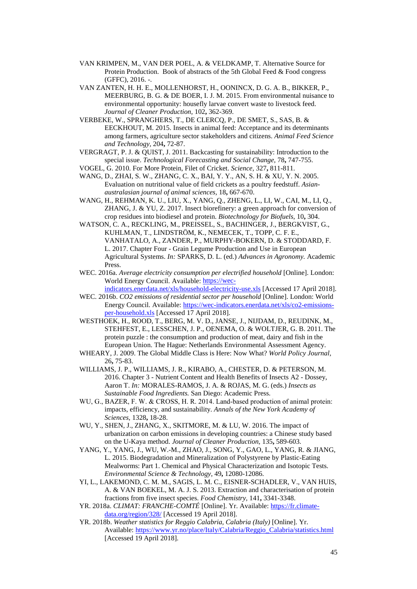- VAN KRIMPEN, M., VAN DER POEL, A. & VELDKAMP, T. Alternative Source for Protein Production. Book of abstracts of the 5th Global Feed & Food congress (GFFC), 2016. -.
- VAN ZANTEN, H. H. E., MOLLENHORST, H., OONINCX, D. G. A. B., BIKKER, P., MEERBURG, B. G. & DE BOER, I. J. M. 2015. From environmental nuisance to environmental opportunity: housefly larvae convert waste to livestock feed. *Journal of Cleaner Production,* 102**,** 362-369.
- VERBEKE, W., SPRANGHERS, T., DE CLERCQ, P., DE SMET, S., SAS, B. & EECKHOUT, M. 2015. Insects in animal feed: Acceptance and its determinants among farmers, agriculture sector stakeholders and citizens. *Animal Feed Science and Technology,* 204**,** 72-87.
- VERGRAGT, P. J. & QUIST, J. 2011. Backcasting for sustainability: Introduction to the special issue. *Technological Forecasting and Social Change,* 78**,** 747-755.
- VOGEL, G. 2010. For More Protein, Filet of Cricket. *Science,* 327**,** 811-811.
- WANG, D., ZHAI, S. W., ZHANG, C. X., BAI, Y. Y., AN, S. H. & XU, Y. N. 2005. Evaluation on nutritional value of field crickets as a poultry feedstuff. *Asianaustralasian journal of animal sciences,* 18**,** 667-670.
- WANG, H., REHMAN, K. U., LIU, X., YANG, Q., ZHENG, L., LI, W., CAI, M., LI, Q., ZHANG, J. & YU, Z. 2017. Insect biorefinery: a green approach for conversion of crop residues into biodiesel and protein. *Biotechnology for Biofuels,* 10**,** 304.
- WATSON, C. A., RECKLING, M., PREISSEL, S., BACHINGER, J., BERGKVIST, G., KUHLMAN, T., LINDSTRÖM, K., NEMECEK, T., TOPP, C. F. E., VANHATALO, A., ZANDER, P., MURPHY-BOKERN, D. & STODDARD, F. L. 2017. Chapter Four - Grain Legume Production and Use in European Agricultural Systems. *In:* SPARKS, D. L. (ed.) *Advances in Agronomy.* Academic Press.
- WEC. 2016a. *Average electricity consumption per electrified household* [Online]. London: World Energy Council. Available[: https://wec-](https://wec-indicators.enerdata.net/xls/household-electricity-use.xls)
- [indicators.enerdata.net/xls/household-electricity-use.xls](https://wec-indicators.enerdata.net/xls/household-electricity-use.xls) [Accessed 17 April 2018]. WEC. 2016b. *CO2 emissions of residential sector per household* [Online]. London: World Energy Council. Available: [https://wec-indicators.enerdata.net/xls/co2-emissions](https://wec-indicators.enerdata.net/xls/co2-emissions-per-household.xls)[per-household.xls](https://wec-indicators.enerdata.net/xls/co2-emissions-per-household.xls) [Accessed 17 April 2018].
- WESTHOEK, H., ROOD, T., BERG, M. V. D., JANSE, J., NIJDAM, D., REUDINK, M., STEHFEST, E., LESSCHEN, J. P., OENEMA, O. & WOLTJER, G. B. 2011. The protein puzzle : the consumption and production of meat, dairy and fish in the European Union. The Hague: Netherlands Environmental Assessment Agency.
- WHEARY, J. 2009. The Global Middle Class is Here: Now What? *World Policy Journal,* 26**,** 75-83.
- WILLIAMS, J. P., WILLIAMS, J. R., KIRABO, A., CHESTER, D. & PETERSON, M. 2016. Chapter 3 - Nutrient Content and Health Benefits of Insects A2 - Dossey, Aaron T. *In:* MORALES-RAMOS, J. A. & ROJAS, M. G. (eds.) *Insects as Sustainable Food Ingredients.* San Diego: Academic Press.
- WU, G., BAZER, F. W. & CROSS, H. R. 2014. Land-based production of animal protein: impacts, efficiency, and sustainability. *Annals of the New York Academy of Sciences,* 1328**,** 18-28.
- WU, Y., SHEN, J., ZHANG, X., SKITMORE, M. & LU, W. 2016. The impact of urbanization on carbon emissions in developing countries: a Chinese study based on the U-Kaya method. *Journal of Cleaner Production,* 135**,** 589-603.
- YANG, Y., YANG, J., WU, W.-M., ZHAO, J., SONG, Y., GAO, L., YANG, R. & JIANG, L. 2015. Biodegradation and Mineralization of Polystyrene by Plastic-Eating Mealworms: Part 1. Chemical and Physical Characterization and Isotopic Tests. *Environmental Science & Technology,* 49**,** 12080-12086.
- YI, L., LAKEMOND, C. M. M., SAGIS, L. M. C., EISNER-SCHADLER, V., VAN HUIS, A. & VAN BOEKEL, M. A. J. S. 2013. Extraction and characterisation of protein fractions from five insect species. *Food Chemistry,* 141**,** 3341-3348.
- YR. 2018a. *CLIMAT: FRANCHE-COMTÉ* [Online]. Yr. Available: [https://fr.climate](https://fr.climate-data.org/region/328/)[data.org/region/328/](https://fr.climate-data.org/region/328/) [Accessed 19 April 2018].
- YR. 2018b. *Weather statistics for Reggio Calabria, Calabria (Italy)* [Online]. Yr. Available: [https://www.yr.no/place/Italy/Calabria/Reggio\\_Calabria/statistics.html](https://www.yr.no/place/Italy/Calabria/Reggio_Calabria/statistics.html) [Accessed 19 April 2018].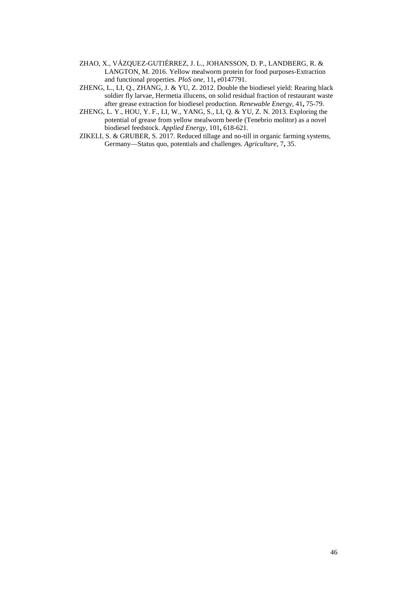- ZHAO, X., VÁZQUEZ-GUTIÉRREZ, J. L., JOHANSSON, D. P., LANDBERG, R. & LANGTON, M. 2016. Yellow mealworm protein for food purposes-Extraction and functional properties. *PloS one*, 11, e0147791.
- ZHENG, L., LI, Q., ZHANG, J. & YU, Z. 2012. Double the biodiesel yield: Rearing black soldier fly larvae, Hermetia illucens, on solid residual fraction of restaurant waste after grease extraction for biodiesel production. *Renewable Energy,* 41**,** 75-79.
- ZHENG, L. Y., HOU, Y. F., LI, W., YANG, S., LI, Q. & YU, Z. N. 2013. Exploring the potential of grease from yellow mealworm beetle (Tenebrio molitor) as a novel biodiesel feedstock. *Applied Energy,* 101**,** 618-621.
- ZIKELI, S. & GRUBER, S. 2017. Reduced tillage and no-till in organic farming systems, Germany—Status quo, potentials and challenges. *Agriculture,* 7**,** 35.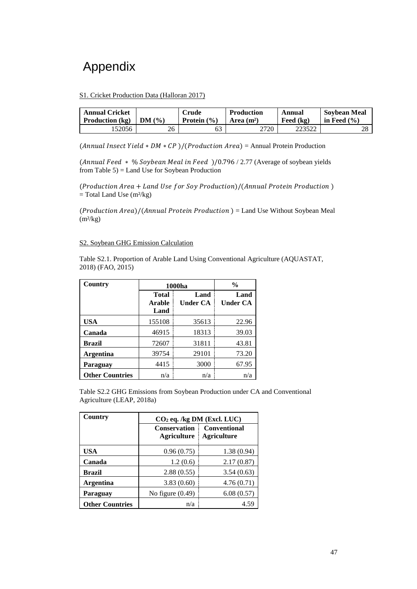## Appendix

#### S1. Cricket Production Data (Halloran 2017)

| <b>Annual Cricket</b>  | DM(%) | <b>Crude</b>    | <b>Production</b> | Annual      | <b>Sovbean Meal</b> |
|------------------------|-------|-----------------|-------------------|-------------|---------------------|
| <b>Production</b> (kg) |       | Protein $(\% )$ | Area $(m2)$       | Feed $(kg)$ | in Feed $(\% )$     |
| 52056                  | 26    |                 | 2720              | 223522      | າ໑<br>20            |

(Annual Insect Yield  $* DM * CP$ )/(Production Area) = Annual Protein Production

(Annual Feed  $*$  % Soybean Meal in Feed )/0.796 / 2.77 (Average of soybean yields from Table 5) = Land Use for Soybean Production

 $(Production Area + Land Use for Sov Production)/(Annual Protein Production)$  $=$  Total Land Use (m<sup>2</sup>/kg)

 $(Production Area)/(Annual Protein Production) = Land Use Without Soybean Meal$  $(m<sup>2</sup>/kg)$ 

#### S2. Soybean GHG Emission Calculation

Table S2.1. Proportion of Arable Land Using Conventional Agriculture (AQUASTAT, 2018) (FAO, 2015)

| Country                | 1000ha                         |                  | $\frac{0}{0}$           |  |
|------------------------|--------------------------------|------------------|-------------------------|--|
|                        | <b>Total</b><br>Arable<br>Land | Land<br>Under CA | Land<br><b>Under CA</b> |  |
| <b>USA</b>             | 155108                         | 35613            | 22.96                   |  |
| Canada                 | 46915                          | 18313            | 39.03                   |  |
| <b>Brazil</b>          | 72607                          | 31811            | 43.81                   |  |
| <b>Argentina</b>       | 39754                          | 29101            | 73.20                   |  |
| Paraguay               | 4415                           | 3000             | 67.95                   |  |
| <b>Other Countries</b> | n/a                            | n/a              | n/a                     |  |

Table S2.2 GHG Emissions from Soybean Production under CA and Conventional Agriculture (LEAP, 2018a)

| Country                | $CO2$ eq. /kg DM (Excl. LUC)              |                                           |  |  |  |
|------------------------|-------------------------------------------|-------------------------------------------|--|--|--|
|                        | <b>Conservation</b><br><b>Agriculture</b> | <b>Conventional</b><br><b>Agriculture</b> |  |  |  |
| USA                    | 0.96(0.75)                                | 1.38(0.94)                                |  |  |  |
| Canada                 | 1.2(0.6)                                  | 2.17(0.87)                                |  |  |  |
| Brazil                 | 2.88(0.55)                                | 3.54(0.63)                                |  |  |  |
| <b>Argentina</b>       | 3.83(0.60)                                | 4.76(0.71)                                |  |  |  |
| Paraguay               | No figure $(0.49)$                        | 6.08(0.57)                                |  |  |  |
| <b>Other Countries</b> | n/a                                       | 4.59                                      |  |  |  |